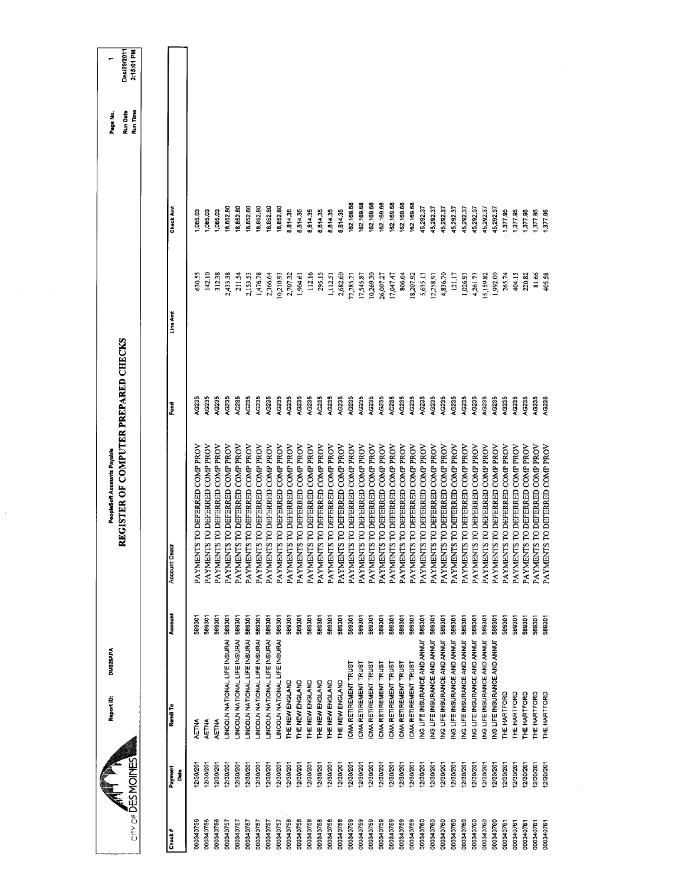| Dec/29/2011<br>3:15.01 PM            |                     |                                    |                                    |                                |                                |                                |                                |                                |                                      |                                |                                                                  |                                |                                |                                |                                |                                |                                |                                |                                |                                |                                |                                |                                |                                |                                |                                                                  |                                |                                |                                |                                |                                |                                |                                |                                |  |
|--------------------------------------|---------------------|------------------------------------|------------------------------------|--------------------------------|--------------------------------|--------------------------------|--------------------------------|--------------------------------|--------------------------------------|--------------------------------|------------------------------------------------------------------|--------------------------------|--------------------------------|--------------------------------|--------------------------------|--------------------------------|--------------------------------|--------------------------------|--------------------------------|--------------------------------|--------------------------------|--------------------------------|--------------------------------|--------------------------------|--------------------------------|------------------------------------------------------------------|--------------------------------|--------------------------------|--------------------------------|--------------------------------|--------------------------------|--------------------------------|--------------------------------|--------------------------------|--|
| Run Date<br>Run Time<br>Page No      |                     |                                    |                                    |                                |                                |                                |                                |                                |                                      |                                |                                                                  |                                |                                |                                |                                |                                |                                |                                |                                |                                |                                |                                |                                |                                |                                |                                                                  |                                |                                |                                |                                |                                |                                |                                |                                |  |
|                                      | Check Amt           | 1,085.03                           | 1,085.03                           | 1,085.03                       | 18,852.80                      | 18,852.80                      | 18,852.80                      | 18,852.80                      | 18,852.80                            | 18,852.80                      | 8,81435<br>8,814.35                                              | 8,814.35                       | 8,814.35                       | 8,814.35                       | 8,814.35                       | 162, 169.68                    | 62,169.68                      | 162,169.68                     | 162, 169.68                    | 162,169.68                     | 162,169.68                     | 162, 169.68                    | 15,292.37                      | 45,292.37                      | 45,292.37                      | 45,292.37<br>45,292.37                                           | 45,292.37                      | 45,292.37                      | 45,292.37                      | 1,377.95                       | 1,377.95                       | 1,377.95                       | 1,377.95                       | 1,377.95                       |  |
|                                      | Line Ant            | 630.55                             | 142.10                             | 312.38                         | 2,433.38                       | 211.54                         | 2,153.53                       | 1,476.78                       | 2,366.64                             | 10,210.93                      | 2,707.32<br>1,904.61                                             | 112.16                         | 295.15                         | 1,112.51                       | 2,682.60                       | 12,285.21                      | 17,545.87                      | 0,269.30                       | 26,007.27                      | 7,047.47                       | 806.64                         | 18,207.92                      | 5,635.13                       | 12,258.91                      | 4,836.70                       | 121.17<br>1,026.91                                               | 4,261.73                       | 15,159.82                      | 1,992.00                       | 265.74                         | 404.15                         | 220.82                         | 81.66                          | 405.58                         |  |
|                                      | Fund<br>F           | AC235                              | AG235                              | AG235                          | AG235                          | AG235                          | AG235                          | AG235                          | AC235                                | AG235                          | AG235<br>AG235                                                   | AG235                          | AG235                          | AG235                          | AG235                          | AG235                          | AG235                          | AG235                          | AG235                          | AG235                          | AG235                          | AG235                          | AG235                          | AG235                          | AG235                          | AG235<br>AG235                                                   | AG235                          | AG235                          | AG235                          | AG235                          | AG235                          | AG235                          | AG235                          | AG235                          |  |
| REGISTER OF COMPUTER PREPARED CHECKS | <b>Account Desc</b> | S TO DEFERRED COMP PROV<br>PAYMENT | S TO DEFERRED COMP PROV<br>PAYMENT | PAYMENTS TO DEFERRED COMP PROV | PAYMENTS TO DEFERRED COMP PROV | PAYMENTS TO DEFERRED COMP PROV | PAYMENTS TO DEFERRED COMP PROV | PAYMENTS TO DEFERRED COMP PROV | PAYMENTS TO DEFERRED COMP PROV       | PAYMENTS TO DEFERRED COMP PROV | PAYMENTS TO DEFERRED COMP PROV<br>PAYMENTS TO DEFERRED COMP PROV | PAYMENTS TO DEFERRED COMP PROV | PAYMENTS TO DEFERRED COMP PROV | PAYMENTS TO DEFERRED COMP PROV | PAYMENTS TO DEFERRED COMP PROV | PAYMENTS TO DEFERRED COMP PROV | PAYMENTS TO DEFERRED COMP PROV | PAYMENTS TO DEFERRED COMP PROV | PAYMENTS TO DEFERRED COMP PROV | PAYMENTS TO DEFERRED COMP PROV | PAYMENTS TO DEFERRED COMP PROV | PAYMENTS TO DEFERRED COMP PROV | PAYMENTS TO DEFERRED COMP PROV | PAYMENTS TO DEFERRED COMP PROV | PAYMENTS TO DEFERRED COMP PROV | PAYMENTS TO DEFERRED COMP PROV<br>PAYMENTS TO DEFERRED COMP PROV | PAYMENTS TO DEFERRED COMP PROV | PAYMENTS TO DEFERRED COMP PROV | PAYMENTS TO DEFERRED COMP PROV | PAYMENTS TO DEFERRED COMP PROV | PAYMENTS TO DEFERRED COMP PROV | PAYMENTS TO DEFERRED COMP PROV | PAYMENTS TO DEFERRED COMP PROV | PAYMENTS TO DEFERRED COMP PROV |  |
|                                      | Account             | 589301                             | 589301                             | 589301                         | 589301                         | 589301                         | 589301                         | 589301                         |                                      | 589301                         | 589301<br>589301                                                 | 589301                         | 589301                         | 589301                         | 589301                         | 589301                         | 589301                         | 589301                         | 589301                         | 589301                         | 589301                         | 589301                         | 589301                         | 589301                         | 589301                         | 589301<br>589301                                                 | 589301                         | 589301                         | 589301                         | 589301                         | 589301                         | 589301                         | 589301                         | 589301                         |  |
|                                      | Remit To            | AETNA                              | AETNA                              | AETNA                          | LINCOLN NATIONAL LIFE INSURAI  | LINCOLN NATIONAL LIFE INSURAL  | LINCOLN NATIONAL LIFE INSURAL  | LINCOLN NATIONAL LIFE INSURAL  | LINCOLN NATIONAL LIFE INSURAI 589301 | LINCOLN NATIONAL LIFE INSURAI  | THE NEW ENGLAND<br>THE NEW ENGLAND                               | THE NEW ENGLAND                | THE NEW ENGLAND                | THE NEW ENGLAND                | THE NEW ENGLAND                | <b>CMA RETIREMENT TRUST</b>    | ICMA RETIREMENT TRUST          | ICMA RETIREMENT TRUST          | CMA RETIREMENT TRUST           | ICMA RETIREMENT TRUST          | ICMA RETIREMENT TRUST          | <b>CMA RETIREMENT TRUST</b>    | ING LIFE INSURANCE AND ANNU'   | ING LIFE INSURANCE AND ANNUT   | ING LIFE INSURANCE AND ANNUI   | ING LIFE INSURANCE AND ANNUI<br>ING LIFE INSURANCE AND ANNUI     | ING LIFE INSURANCE AND ANNU'   | ING LIFE INSURANCE AND ANNUI   | ING LIFE INSURANCE AND ANNU'   | THE HARTFORD                   | THE HARTFORD                   | THE HARTFORD                   | THE HARTFORD                   | THE HARTFORD                   |  |
| $CITY OF \overline{D}ES MOMES$       | Payment<br>Date     | 12/30/201                          | 12/30/201                          | 12/30/201                      | 12/30/201                      | 12/30/201                      | 12/30/201                      | 12/30/201                      | 12/30/201                            | 12/30/201                      | 12/30/201<br>12/30/201                                           | 12/30/201                      | 12/30/201                      | 12/30/201                      | 12/30/201                      | 12/30/201                      | 12/30/201                      | 12/30/201                      | 12/30/201                      | 12/30/201                      | 12/30/201                      | 12/30/201                      | 12/30/201                      | 12/30/201                      | 12/30/201                      | 12/30/201<br>12/30/201                                           | 12/30/201                      | 12/30/201                      | 12/30/201                      | 12/30/201                      | 12/30/201                      | 12/30/201                      | 12/30/201                      | 12/30/201                      |  |
|                                      | Check#              | 000340756                          | 000340756                          | 000340756                      | 000340757                      | 000340757                      | 000340757                      | 000340757                      | 000340757                            | 000340757                      | 000340758<br>000340758                                           | 000340758                      | 000340758                      | 000340758                      | 000340758                      | 000340759                      | 000340759                      | 000340759                      | 000340759                      | 000340759                      | 000340759                      | 000340759                      | 000340760                      | 000340760                      | 000340760                      | 000340760<br>000340760                                           | 000340760                      | 000340760                      | 000340760                      | 000340761                      | 000340761                      | 000340761                      | 000340761                      | 000340761                      |  |

 $\frac{1}{2}$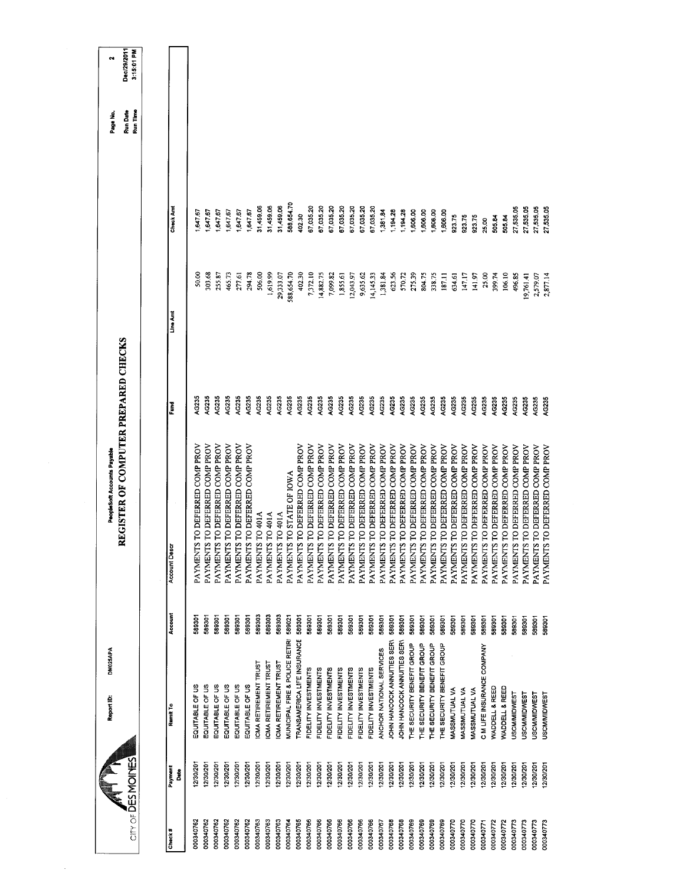| 588,654.70<br>31,459.06<br>31,459.06<br>31,459.06<br>67,035.20<br>Check Am<br>67,035.20<br>67,035.20<br>67,035.20<br>67,035.20<br>67,035.20<br>67,035.20<br>27,535.05<br>1,647.67<br>1,647.67<br>1,647.67<br>1,194.28<br>1,194.28<br>1,647.67<br>1,647.67<br>1,381.84<br>1,606.00<br>1,606.00<br>1,647.67<br>1,606.00<br>1,606.00<br>402.30<br>923.75<br>923.75<br>92375<br>505.84<br>505.84<br>25.00<br>303.68<br>588,654.70<br>402.30<br>50.00<br>255.87<br>294.78<br>506.00<br>1,619.99<br>29,333.07<br>7,372.10<br>623.56<br>465.73<br>277.61<br>14,882.75<br>7,099.82<br>9,635.62<br>14,145.33<br>1,381.84<br>570.72<br>275.39<br>804.75<br>1,855.61<br>12,043.97<br>338.75<br>147.17<br>25.00<br>399.74<br>106.10<br>496.85<br>187.11<br>634,61<br>141.97<br>Line Am<br>AG235<br>AG235<br>AG235<br>AG235<br>AG235<br>AG235<br>AG235<br>AG235<br>AC235<br>AG235<br>AG235<br>AG235<br>AG235<br>AG235<br>AG235<br>AG235<br>AG235<br>AG235<br>AG235<br>AG235<br>AG235<br>AG235<br>AG235<br>AG235<br>AG235<br>AG235<br>AG235<br>AG235<br>AG235<br>AG235<br>AG235<br>AC235<br>š<br>PAYMENTS TO DEFERRED COMP PROV<br>PAYMENTS TO DEFERRED COMP PROV<br>PAYMENTS TO DEFERRED COMP PROV<br>PAYMENTS TO DEFERRED COMP PROV<br>PAYMENTS TO DEFERRED COMP PROV<br>PAYMENTS TO DEFERRED COMP PROV<br>PAYMENTS TO DEFERRED COMP PROV<br>PAYMENTS TO DEFERRED COMP PROV<br>PAYMENTS TO DEFERRED COMP PROV<br>PAYMENTS TO DEFERRED COMP PROV<br>PAYMENTS TO DEFERRED COMP PROV<br>PAYMENTS TO DEFERRED COMP PROV<br>PAYMENTS TO DEFERRED COMP PROV<br>PAYMENTS TO DEFERRED COMP PROV<br>PAYMENTS TO DEFERRED COMP PROV<br>PAYMENTS TO DEFERRED COMP PROV<br>PAYMENTS TO DEFERRED COMP PROV<br>PAYMENTS TO DEFERRED COMP PROV<br>PAYMENTS TO DEFERRED COMP PROV<br>TO DEFERRED COMP PROV<br>PAYMENTS TO DEFERRED COMP PROV<br>PAYMENTS TO DEFERRED COMP PROV<br>PAYMENTS TO DEFERRED COMP PROV<br>PAYMENTS TO DEFERRED COMP PROV<br>PAYMENTS TO DEFERRED COMP PROV<br>PAYMENTS TO DEFERRED COMP PROV<br>TO DEFERRED COMP PROV<br>TO DEFERRED COMP PROV<br>PAYMENTS TO STATE OF IOWA<br>PAYMENTS TO 401A<br>PAYMENTS TO 401A<br>PAYMENTS TO 401A<br><b>PAYMENTS</b><br><b>Account Descr</b><br>PAYMENTS<br>PAYMENTS<br>Account<br>589303<br>589303<br>589301<br>589301<br>589303<br>589021<br>589301<br>589301<br>589301<br>589301<br>589301<br>589301<br>589301<br>589301<br>589301<br>589301<br>589301<br>589301<br>589301<br>589301<br>589301<br>589301<br>589301<br>589301<br>589301<br>589301<br>589301<br>589301<br>589301<br>589301<br>589301<br>589301<br>MUNICIPAL FIRE & POLICE RETIRI<br>TRANSAMERICA LIFE INSURANCE<br>JOHN HANCOCK ANNUITIES SERN<br>JOHN HANCOCK ANNUITIES SERN<br>THE SECURITY BENEFIT GROUP<br>THE SECURITY BENEFIT GROUP<br>THE SECURITY BENEFIT GROUP<br>THE SECURITY BENEFIT GROUP<br>C M LIFE INSURANCE COMPANY<br>ANCHOR NATIONAL SERVICES<br>ICMA RETIREMENT TRUST<br><b>ICMA RETIREMENT TRUST</b><br><b>CMA RETIREMENT TRUST</b><br>FIDELITY INVESTMENTS<br>FIDELITY INVESTMENTS<br>FIDELITY INVESTMENTS<br>FIDELITY INVESTMENTS<br>FIDELITY INVESTMENTS<br>FIDELITY INVESTMENTS<br>FIDELITY INVESTMENTS<br>EQUITABLE OF US<br>EQUITABLE OF US<br>EQUITABLE OF US<br>EQUITABLE OF US<br>EQUITABLE OF US<br>EQUITABLE OF US<br>WADDELL & REED<br>MASSMUTUAL VA<br>WADDELL & REED<br>MASSMUTUAL VA<br><b>MASSMUTUAL VA</b><br><b>USCM/MIDWEST</b><br>Remit To<br>12/30/201<br>12/30/201<br>12/30/201<br>2/30/201<br>12/30/201<br>12/30/201<br>12/30/201<br>2/30/201<br>12/30/201<br>12/30/201<br>12/30/201<br>12/30/201<br>12/30/201<br>12/30/201<br>12/30/201<br>12/30/201<br>12/30/201<br>12/30/201<br>12/30/201<br>12/30/201<br>12/30/201<br>12/30/201<br>12/30/201<br>12/30/201<br>12/30/201<br>12/30/201<br>12/30/201<br>12/30/201<br>12/30/201<br>12/30/201<br>12/30/201<br>12/30/201<br>Payment<br>នឹ<br>000340762<br>000340762<br>000340765<br>000340766<br>000340766<br>000340769<br>000340769<br>000340762<br>000340762<br>000340762<br>00340762<br>000340763<br>00340763<br>000340763<br>000340764<br>000340766<br>000340766<br>000340766<br>000340766<br>000340766<br>000340768<br>000340768<br>000340769<br>000340769<br>000340770<br>000340770<br>000340770<br>000340772<br>000340773<br>000340767<br>000340772<br>000340771 |  | REGISTER OF COMPUTER PREPARED CHECKS |  |
|----------------------------------------------------------------------------------------------------------------------------------------------------------------------------------------------------------------------------------------------------------------------------------------------------------------------------------------------------------------------------------------------------------------------------------------------------------------------------------------------------------------------------------------------------------------------------------------------------------------------------------------------------------------------------------------------------------------------------------------------------------------------------------------------------------------------------------------------------------------------------------------------------------------------------------------------------------------------------------------------------------------------------------------------------------------------------------------------------------------------------------------------------------------------------------------------------------------------------------------------------------------------------------------------------------------------------------------------------------------------------------------------------------------------------------------------------------------------------------------------------------------------------------------------------------------------------------------------------------------------------------------------------------------------------------------------------------------------------------------------------------------------------------------------------------------------------------------------------------------------------------------------------------------------------------------------------------------------------------------------------------------------------------------------------------------------------------------------------------------------------------------------------------------------------------------------------------------------------------------------------------------------------------------------------------------------------------------------------------------------------------------------------------------------------------------------------------------------------------------------------------------------------------------------------------------------------------------------------------------------------------------------------------------------------------------------------------------------------------------------------------------------------------------------------------------------------------------------------------------------------------------------------------------------------------------------------------------------------------------------------------------------------------------------------------------------------------------------------------------------------------------------------------------------------------------------------------------------------------------------------------------------------------------------------------------------------------------------------------------------------------------------------------------------------------------------------------------------------------------------------------------------------------------------------------------------------------------------------------------------------------------------------------------------------------------------------------------------------------------------------------------------------------------------------------------------------------------------------------------------------------------------------------------------------------------------------------------------------------------------------------------------------------------------------------------------------------------------------------------------------------------------------------------------------------------------------------------------------------------------------------------------|--|--------------------------------------|--|
|                                                                                                                                                                                                                                                                                                                                                                                                                                                                                                                                                                                                                                                                                                                                                                                                                                                                                                                                                                                                                                                                                                                                                                                                                                                                                                                                                                                                                                                                                                                                                                                                                                                                                                                                                                                                                                                                                                                                                                                                                                                                                                                                                                                                                                                                                                                                                                                                                                                                                                                                                                                                                                                                                                                                                                                                                                                                                                                                                                                                                                                                                                                                                                                                                                                                                                                                                                                                                                                                                                                                                                                                                                                                                                                                                                                                                                                                                                                                                                                                                                                                                                                                                                                                                                                                      |  |                                      |  |
|                                                                                                                                                                                                                                                                                                                                                                                                                                                                                                                                                                                                                                                                                                                                                                                                                                                                                                                                                                                                                                                                                                                                                                                                                                                                                                                                                                                                                                                                                                                                                                                                                                                                                                                                                                                                                                                                                                                                                                                                                                                                                                                                                                                                                                                                                                                                                                                                                                                                                                                                                                                                                                                                                                                                                                                                                                                                                                                                                                                                                                                                                                                                                                                                                                                                                                                                                                                                                                                                                                                                                                                                                                                                                                                                                                                                                                                                                                                                                                                                                                                                                                                                                                                                                                                                      |  |                                      |  |
|                                                                                                                                                                                                                                                                                                                                                                                                                                                                                                                                                                                                                                                                                                                                                                                                                                                                                                                                                                                                                                                                                                                                                                                                                                                                                                                                                                                                                                                                                                                                                                                                                                                                                                                                                                                                                                                                                                                                                                                                                                                                                                                                                                                                                                                                                                                                                                                                                                                                                                                                                                                                                                                                                                                                                                                                                                                                                                                                                                                                                                                                                                                                                                                                                                                                                                                                                                                                                                                                                                                                                                                                                                                                                                                                                                                                                                                                                                                                                                                                                                                                                                                                                                                                                                                                      |  |                                      |  |
|                                                                                                                                                                                                                                                                                                                                                                                                                                                                                                                                                                                                                                                                                                                                                                                                                                                                                                                                                                                                                                                                                                                                                                                                                                                                                                                                                                                                                                                                                                                                                                                                                                                                                                                                                                                                                                                                                                                                                                                                                                                                                                                                                                                                                                                                                                                                                                                                                                                                                                                                                                                                                                                                                                                                                                                                                                                                                                                                                                                                                                                                                                                                                                                                                                                                                                                                                                                                                                                                                                                                                                                                                                                                                                                                                                                                                                                                                                                                                                                                                                                                                                                                                                                                                                                                      |  |                                      |  |
|                                                                                                                                                                                                                                                                                                                                                                                                                                                                                                                                                                                                                                                                                                                                                                                                                                                                                                                                                                                                                                                                                                                                                                                                                                                                                                                                                                                                                                                                                                                                                                                                                                                                                                                                                                                                                                                                                                                                                                                                                                                                                                                                                                                                                                                                                                                                                                                                                                                                                                                                                                                                                                                                                                                                                                                                                                                                                                                                                                                                                                                                                                                                                                                                                                                                                                                                                                                                                                                                                                                                                                                                                                                                                                                                                                                                                                                                                                                                                                                                                                                                                                                                                                                                                                                                      |  |                                      |  |
|                                                                                                                                                                                                                                                                                                                                                                                                                                                                                                                                                                                                                                                                                                                                                                                                                                                                                                                                                                                                                                                                                                                                                                                                                                                                                                                                                                                                                                                                                                                                                                                                                                                                                                                                                                                                                                                                                                                                                                                                                                                                                                                                                                                                                                                                                                                                                                                                                                                                                                                                                                                                                                                                                                                                                                                                                                                                                                                                                                                                                                                                                                                                                                                                                                                                                                                                                                                                                                                                                                                                                                                                                                                                                                                                                                                                                                                                                                                                                                                                                                                                                                                                                                                                                                                                      |  |                                      |  |
|                                                                                                                                                                                                                                                                                                                                                                                                                                                                                                                                                                                                                                                                                                                                                                                                                                                                                                                                                                                                                                                                                                                                                                                                                                                                                                                                                                                                                                                                                                                                                                                                                                                                                                                                                                                                                                                                                                                                                                                                                                                                                                                                                                                                                                                                                                                                                                                                                                                                                                                                                                                                                                                                                                                                                                                                                                                                                                                                                                                                                                                                                                                                                                                                                                                                                                                                                                                                                                                                                                                                                                                                                                                                                                                                                                                                                                                                                                                                                                                                                                                                                                                                                                                                                                                                      |  |                                      |  |
|                                                                                                                                                                                                                                                                                                                                                                                                                                                                                                                                                                                                                                                                                                                                                                                                                                                                                                                                                                                                                                                                                                                                                                                                                                                                                                                                                                                                                                                                                                                                                                                                                                                                                                                                                                                                                                                                                                                                                                                                                                                                                                                                                                                                                                                                                                                                                                                                                                                                                                                                                                                                                                                                                                                                                                                                                                                                                                                                                                                                                                                                                                                                                                                                                                                                                                                                                                                                                                                                                                                                                                                                                                                                                                                                                                                                                                                                                                                                                                                                                                                                                                                                                                                                                                                                      |  |                                      |  |
|                                                                                                                                                                                                                                                                                                                                                                                                                                                                                                                                                                                                                                                                                                                                                                                                                                                                                                                                                                                                                                                                                                                                                                                                                                                                                                                                                                                                                                                                                                                                                                                                                                                                                                                                                                                                                                                                                                                                                                                                                                                                                                                                                                                                                                                                                                                                                                                                                                                                                                                                                                                                                                                                                                                                                                                                                                                                                                                                                                                                                                                                                                                                                                                                                                                                                                                                                                                                                                                                                                                                                                                                                                                                                                                                                                                                                                                                                                                                                                                                                                                                                                                                                                                                                                                                      |  |                                      |  |
|                                                                                                                                                                                                                                                                                                                                                                                                                                                                                                                                                                                                                                                                                                                                                                                                                                                                                                                                                                                                                                                                                                                                                                                                                                                                                                                                                                                                                                                                                                                                                                                                                                                                                                                                                                                                                                                                                                                                                                                                                                                                                                                                                                                                                                                                                                                                                                                                                                                                                                                                                                                                                                                                                                                                                                                                                                                                                                                                                                                                                                                                                                                                                                                                                                                                                                                                                                                                                                                                                                                                                                                                                                                                                                                                                                                                                                                                                                                                                                                                                                                                                                                                                                                                                                                                      |  |                                      |  |
|                                                                                                                                                                                                                                                                                                                                                                                                                                                                                                                                                                                                                                                                                                                                                                                                                                                                                                                                                                                                                                                                                                                                                                                                                                                                                                                                                                                                                                                                                                                                                                                                                                                                                                                                                                                                                                                                                                                                                                                                                                                                                                                                                                                                                                                                                                                                                                                                                                                                                                                                                                                                                                                                                                                                                                                                                                                                                                                                                                                                                                                                                                                                                                                                                                                                                                                                                                                                                                                                                                                                                                                                                                                                                                                                                                                                                                                                                                                                                                                                                                                                                                                                                                                                                                                                      |  |                                      |  |
|                                                                                                                                                                                                                                                                                                                                                                                                                                                                                                                                                                                                                                                                                                                                                                                                                                                                                                                                                                                                                                                                                                                                                                                                                                                                                                                                                                                                                                                                                                                                                                                                                                                                                                                                                                                                                                                                                                                                                                                                                                                                                                                                                                                                                                                                                                                                                                                                                                                                                                                                                                                                                                                                                                                                                                                                                                                                                                                                                                                                                                                                                                                                                                                                                                                                                                                                                                                                                                                                                                                                                                                                                                                                                                                                                                                                                                                                                                                                                                                                                                                                                                                                                                                                                                                                      |  |                                      |  |
|                                                                                                                                                                                                                                                                                                                                                                                                                                                                                                                                                                                                                                                                                                                                                                                                                                                                                                                                                                                                                                                                                                                                                                                                                                                                                                                                                                                                                                                                                                                                                                                                                                                                                                                                                                                                                                                                                                                                                                                                                                                                                                                                                                                                                                                                                                                                                                                                                                                                                                                                                                                                                                                                                                                                                                                                                                                                                                                                                                                                                                                                                                                                                                                                                                                                                                                                                                                                                                                                                                                                                                                                                                                                                                                                                                                                                                                                                                                                                                                                                                                                                                                                                                                                                                                                      |  |                                      |  |
|                                                                                                                                                                                                                                                                                                                                                                                                                                                                                                                                                                                                                                                                                                                                                                                                                                                                                                                                                                                                                                                                                                                                                                                                                                                                                                                                                                                                                                                                                                                                                                                                                                                                                                                                                                                                                                                                                                                                                                                                                                                                                                                                                                                                                                                                                                                                                                                                                                                                                                                                                                                                                                                                                                                                                                                                                                                                                                                                                                                                                                                                                                                                                                                                                                                                                                                                                                                                                                                                                                                                                                                                                                                                                                                                                                                                                                                                                                                                                                                                                                                                                                                                                                                                                                                                      |  |                                      |  |
|                                                                                                                                                                                                                                                                                                                                                                                                                                                                                                                                                                                                                                                                                                                                                                                                                                                                                                                                                                                                                                                                                                                                                                                                                                                                                                                                                                                                                                                                                                                                                                                                                                                                                                                                                                                                                                                                                                                                                                                                                                                                                                                                                                                                                                                                                                                                                                                                                                                                                                                                                                                                                                                                                                                                                                                                                                                                                                                                                                                                                                                                                                                                                                                                                                                                                                                                                                                                                                                                                                                                                                                                                                                                                                                                                                                                                                                                                                                                                                                                                                                                                                                                                                                                                                                                      |  |                                      |  |
|                                                                                                                                                                                                                                                                                                                                                                                                                                                                                                                                                                                                                                                                                                                                                                                                                                                                                                                                                                                                                                                                                                                                                                                                                                                                                                                                                                                                                                                                                                                                                                                                                                                                                                                                                                                                                                                                                                                                                                                                                                                                                                                                                                                                                                                                                                                                                                                                                                                                                                                                                                                                                                                                                                                                                                                                                                                                                                                                                                                                                                                                                                                                                                                                                                                                                                                                                                                                                                                                                                                                                                                                                                                                                                                                                                                                                                                                                                                                                                                                                                                                                                                                                                                                                                                                      |  |                                      |  |
|                                                                                                                                                                                                                                                                                                                                                                                                                                                                                                                                                                                                                                                                                                                                                                                                                                                                                                                                                                                                                                                                                                                                                                                                                                                                                                                                                                                                                                                                                                                                                                                                                                                                                                                                                                                                                                                                                                                                                                                                                                                                                                                                                                                                                                                                                                                                                                                                                                                                                                                                                                                                                                                                                                                                                                                                                                                                                                                                                                                                                                                                                                                                                                                                                                                                                                                                                                                                                                                                                                                                                                                                                                                                                                                                                                                                                                                                                                                                                                                                                                                                                                                                                                                                                                                                      |  |                                      |  |
|                                                                                                                                                                                                                                                                                                                                                                                                                                                                                                                                                                                                                                                                                                                                                                                                                                                                                                                                                                                                                                                                                                                                                                                                                                                                                                                                                                                                                                                                                                                                                                                                                                                                                                                                                                                                                                                                                                                                                                                                                                                                                                                                                                                                                                                                                                                                                                                                                                                                                                                                                                                                                                                                                                                                                                                                                                                                                                                                                                                                                                                                                                                                                                                                                                                                                                                                                                                                                                                                                                                                                                                                                                                                                                                                                                                                                                                                                                                                                                                                                                                                                                                                                                                                                                                                      |  |                                      |  |
|                                                                                                                                                                                                                                                                                                                                                                                                                                                                                                                                                                                                                                                                                                                                                                                                                                                                                                                                                                                                                                                                                                                                                                                                                                                                                                                                                                                                                                                                                                                                                                                                                                                                                                                                                                                                                                                                                                                                                                                                                                                                                                                                                                                                                                                                                                                                                                                                                                                                                                                                                                                                                                                                                                                                                                                                                                                                                                                                                                                                                                                                                                                                                                                                                                                                                                                                                                                                                                                                                                                                                                                                                                                                                                                                                                                                                                                                                                                                                                                                                                                                                                                                                                                                                                                                      |  |                                      |  |
|                                                                                                                                                                                                                                                                                                                                                                                                                                                                                                                                                                                                                                                                                                                                                                                                                                                                                                                                                                                                                                                                                                                                                                                                                                                                                                                                                                                                                                                                                                                                                                                                                                                                                                                                                                                                                                                                                                                                                                                                                                                                                                                                                                                                                                                                                                                                                                                                                                                                                                                                                                                                                                                                                                                                                                                                                                                                                                                                                                                                                                                                                                                                                                                                                                                                                                                                                                                                                                                                                                                                                                                                                                                                                                                                                                                                                                                                                                                                                                                                                                                                                                                                                                                                                                                                      |  |                                      |  |
|                                                                                                                                                                                                                                                                                                                                                                                                                                                                                                                                                                                                                                                                                                                                                                                                                                                                                                                                                                                                                                                                                                                                                                                                                                                                                                                                                                                                                                                                                                                                                                                                                                                                                                                                                                                                                                                                                                                                                                                                                                                                                                                                                                                                                                                                                                                                                                                                                                                                                                                                                                                                                                                                                                                                                                                                                                                                                                                                                                                                                                                                                                                                                                                                                                                                                                                                                                                                                                                                                                                                                                                                                                                                                                                                                                                                                                                                                                                                                                                                                                                                                                                                                                                                                                                                      |  |                                      |  |
|                                                                                                                                                                                                                                                                                                                                                                                                                                                                                                                                                                                                                                                                                                                                                                                                                                                                                                                                                                                                                                                                                                                                                                                                                                                                                                                                                                                                                                                                                                                                                                                                                                                                                                                                                                                                                                                                                                                                                                                                                                                                                                                                                                                                                                                                                                                                                                                                                                                                                                                                                                                                                                                                                                                                                                                                                                                                                                                                                                                                                                                                                                                                                                                                                                                                                                                                                                                                                                                                                                                                                                                                                                                                                                                                                                                                                                                                                                                                                                                                                                                                                                                                                                                                                                                                      |  |                                      |  |
|                                                                                                                                                                                                                                                                                                                                                                                                                                                                                                                                                                                                                                                                                                                                                                                                                                                                                                                                                                                                                                                                                                                                                                                                                                                                                                                                                                                                                                                                                                                                                                                                                                                                                                                                                                                                                                                                                                                                                                                                                                                                                                                                                                                                                                                                                                                                                                                                                                                                                                                                                                                                                                                                                                                                                                                                                                                                                                                                                                                                                                                                                                                                                                                                                                                                                                                                                                                                                                                                                                                                                                                                                                                                                                                                                                                                                                                                                                                                                                                                                                                                                                                                                                                                                                                                      |  |                                      |  |
|                                                                                                                                                                                                                                                                                                                                                                                                                                                                                                                                                                                                                                                                                                                                                                                                                                                                                                                                                                                                                                                                                                                                                                                                                                                                                                                                                                                                                                                                                                                                                                                                                                                                                                                                                                                                                                                                                                                                                                                                                                                                                                                                                                                                                                                                                                                                                                                                                                                                                                                                                                                                                                                                                                                                                                                                                                                                                                                                                                                                                                                                                                                                                                                                                                                                                                                                                                                                                                                                                                                                                                                                                                                                                                                                                                                                                                                                                                                                                                                                                                                                                                                                                                                                                                                                      |  |                                      |  |
|                                                                                                                                                                                                                                                                                                                                                                                                                                                                                                                                                                                                                                                                                                                                                                                                                                                                                                                                                                                                                                                                                                                                                                                                                                                                                                                                                                                                                                                                                                                                                                                                                                                                                                                                                                                                                                                                                                                                                                                                                                                                                                                                                                                                                                                                                                                                                                                                                                                                                                                                                                                                                                                                                                                                                                                                                                                                                                                                                                                                                                                                                                                                                                                                                                                                                                                                                                                                                                                                                                                                                                                                                                                                                                                                                                                                                                                                                                                                                                                                                                                                                                                                                                                                                                                                      |  |                                      |  |
|                                                                                                                                                                                                                                                                                                                                                                                                                                                                                                                                                                                                                                                                                                                                                                                                                                                                                                                                                                                                                                                                                                                                                                                                                                                                                                                                                                                                                                                                                                                                                                                                                                                                                                                                                                                                                                                                                                                                                                                                                                                                                                                                                                                                                                                                                                                                                                                                                                                                                                                                                                                                                                                                                                                                                                                                                                                                                                                                                                                                                                                                                                                                                                                                                                                                                                                                                                                                                                                                                                                                                                                                                                                                                                                                                                                                                                                                                                                                                                                                                                                                                                                                                                                                                                                                      |  |                                      |  |
|                                                                                                                                                                                                                                                                                                                                                                                                                                                                                                                                                                                                                                                                                                                                                                                                                                                                                                                                                                                                                                                                                                                                                                                                                                                                                                                                                                                                                                                                                                                                                                                                                                                                                                                                                                                                                                                                                                                                                                                                                                                                                                                                                                                                                                                                                                                                                                                                                                                                                                                                                                                                                                                                                                                                                                                                                                                                                                                                                                                                                                                                                                                                                                                                                                                                                                                                                                                                                                                                                                                                                                                                                                                                                                                                                                                                                                                                                                                                                                                                                                                                                                                                                                                                                                                                      |  |                                      |  |
|                                                                                                                                                                                                                                                                                                                                                                                                                                                                                                                                                                                                                                                                                                                                                                                                                                                                                                                                                                                                                                                                                                                                                                                                                                                                                                                                                                                                                                                                                                                                                                                                                                                                                                                                                                                                                                                                                                                                                                                                                                                                                                                                                                                                                                                                                                                                                                                                                                                                                                                                                                                                                                                                                                                                                                                                                                                                                                                                                                                                                                                                                                                                                                                                                                                                                                                                                                                                                                                                                                                                                                                                                                                                                                                                                                                                                                                                                                                                                                                                                                                                                                                                                                                                                                                                      |  |                                      |  |
|                                                                                                                                                                                                                                                                                                                                                                                                                                                                                                                                                                                                                                                                                                                                                                                                                                                                                                                                                                                                                                                                                                                                                                                                                                                                                                                                                                                                                                                                                                                                                                                                                                                                                                                                                                                                                                                                                                                                                                                                                                                                                                                                                                                                                                                                                                                                                                                                                                                                                                                                                                                                                                                                                                                                                                                                                                                                                                                                                                                                                                                                                                                                                                                                                                                                                                                                                                                                                                                                                                                                                                                                                                                                                                                                                                                                                                                                                                                                                                                                                                                                                                                                                                                                                                                                      |  |                                      |  |
|                                                                                                                                                                                                                                                                                                                                                                                                                                                                                                                                                                                                                                                                                                                                                                                                                                                                                                                                                                                                                                                                                                                                                                                                                                                                                                                                                                                                                                                                                                                                                                                                                                                                                                                                                                                                                                                                                                                                                                                                                                                                                                                                                                                                                                                                                                                                                                                                                                                                                                                                                                                                                                                                                                                                                                                                                                                                                                                                                                                                                                                                                                                                                                                                                                                                                                                                                                                                                                                                                                                                                                                                                                                                                                                                                                                                                                                                                                                                                                                                                                                                                                                                                                                                                                                                      |  |                                      |  |
|                                                                                                                                                                                                                                                                                                                                                                                                                                                                                                                                                                                                                                                                                                                                                                                                                                                                                                                                                                                                                                                                                                                                                                                                                                                                                                                                                                                                                                                                                                                                                                                                                                                                                                                                                                                                                                                                                                                                                                                                                                                                                                                                                                                                                                                                                                                                                                                                                                                                                                                                                                                                                                                                                                                                                                                                                                                                                                                                                                                                                                                                                                                                                                                                                                                                                                                                                                                                                                                                                                                                                                                                                                                                                                                                                                                                                                                                                                                                                                                                                                                                                                                                                                                                                                                                      |  |                                      |  |
|                                                                                                                                                                                                                                                                                                                                                                                                                                                                                                                                                                                                                                                                                                                                                                                                                                                                                                                                                                                                                                                                                                                                                                                                                                                                                                                                                                                                                                                                                                                                                                                                                                                                                                                                                                                                                                                                                                                                                                                                                                                                                                                                                                                                                                                                                                                                                                                                                                                                                                                                                                                                                                                                                                                                                                                                                                                                                                                                                                                                                                                                                                                                                                                                                                                                                                                                                                                                                                                                                                                                                                                                                                                                                                                                                                                                                                                                                                                                                                                                                                                                                                                                                                                                                                                                      |  |                                      |  |
|                                                                                                                                                                                                                                                                                                                                                                                                                                                                                                                                                                                                                                                                                                                                                                                                                                                                                                                                                                                                                                                                                                                                                                                                                                                                                                                                                                                                                                                                                                                                                                                                                                                                                                                                                                                                                                                                                                                                                                                                                                                                                                                                                                                                                                                                                                                                                                                                                                                                                                                                                                                                                                                                                                                                                                                                                                                                                                                                                                                                                                                                                                                                                                                                                                                                                                                                                                                                                                                                                                                                                                                                                                                                                                                                                                                                                                                                                                                                                                                                                                                                                                                                                                                                                                                                      |  |                                      |  |
|                                                                                                                                                                                                                                                                                                                                                                                                                                                                                                                                                                                                                                                                                                                                                                                                                                                                                                                                                                                                                                                                                                                                                                                                                                                                                                                                                                                                                                                                                                                                                                                                                                                                                                                                                                                                                                                                                                                                                                                                                                                                                                                                                                                                                                                                                                                                                                                                                                                                                                                                                                                                                                                                                                                                                                                                                                                                                                                                                                                                                                                                                                                                                                                                                                                                                                                                                                                                                                                                                                                                                                                                                                                                                                                                                                                                                                                                                                                                                                                                                                                                                                                                                                                                                                                                      |  |                                      |  |
| 27,535.05<br>19,761.41<br>AG235<br>TO DEFERRED COMP PROV<br>PAYMENTS<br>589301<br><b>USCM/MIDWEST</b><br>2/30/201                                                                                                                                                                                                                                                                                                                                                                                                                                                                                                                                                                                                                                                                                                                                                                                                                                                                                                                                                                                                                                                                                                                                                                                                                                                                                                                                                                                                                                                                                                                                                                                                                                                                                                                                                                                                                                                                                                                                                                                                                                                                                                                                                                                                                                                                                                                                                                                                                                                                                                                                                                                                                                                                                                                                                                                                                                                                                                                                                                                                                                                                                                                                                                                                                                                                                                                                                                                                                                                                                                                                                                                                                                                                                                                                                                                                                                                                                                                                                                                                                                                                                                                                                    |  |                                      |  |
| 27,535.05<br>2,579.07<br>AG235<br>TO DEFERRED COMP PROV<br>PAYMENTS<br>589301<br><b>USCM/MIDWEST</b><br>12/30/201                                                                                                                                                                                                                                                                                                                                                                                                                                                                                                                                                                                                                                                                                                                                                                                                                                                                                                                                                                                                                                                                                                                                                                                                                                                                                                                                                                                                                                                                                                                                                                                                                                                                                                                                                                                                                                                                                                                                                                                                                                                                                                                                                                                                                                                                                                                                                                                                                                                                                                                                                                                                                                                                                                                                                                                                                                                                                                                                                                                                                                                                                                                                                                                                                                                                                                                                                                                                                                                                                                                                                                                                                                                                                                                                                                                                                                                                                                                                                                                                                                                                                                                                                    |  |                                      |  |
| 27,535.05<br>2,877.14<br>AG235<br>TO DEFERRED COMP PROV<br>PAYMENTS<br>589301<br><b>USCM/MIDWEST</b><br>2/30/201                                                                                                                                                                                                                                                                                                                                                                                                                                                                                                                                                                                                                                                                                                                                                                                                                                                                                                                                                                                                                                                                                                                                                                                                                                                                                                                                                                                                                                                                                                                                                                                                                                                                                                                                                                                                                                                                                                                                                                                                                                                                                                                                                                                                                                                                                                                                                                                                                                                                                                                                                                                                                                                                                                                                                                                                                                                                                                                                                                                                                                                                                                                                                                                                                                                                                                                                                                                                                                                                                                                                                                                                                                                                                                                                                                                                                                                                                                                                                                                                                                                                                                                                                     |  |                                      |  |

 $\frac{1}{2}$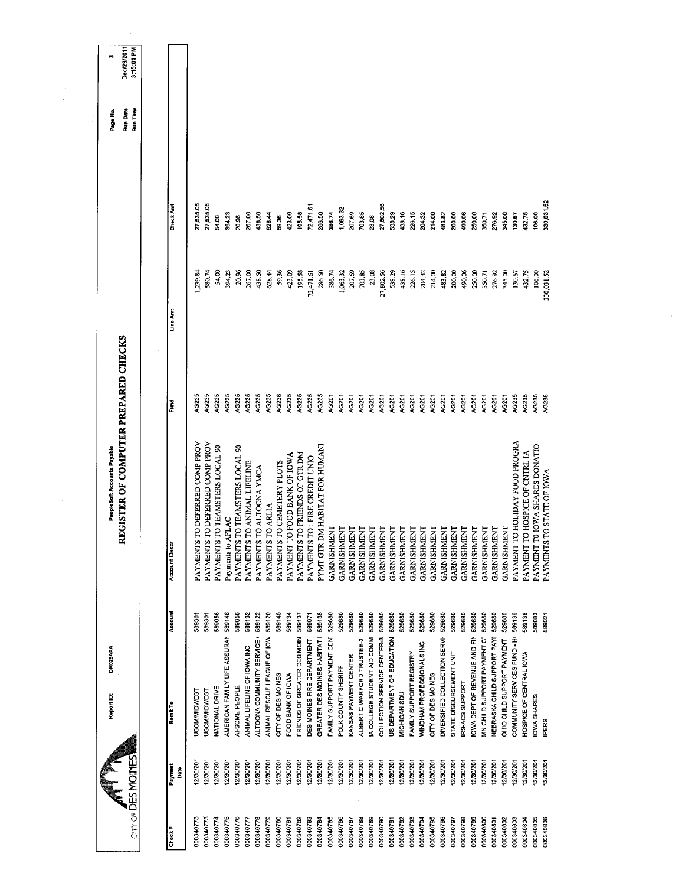| City of DES MOINES     |                        | DM025APA<br>Report ID:                                   |                  | REGISTER OF COMPUTER PREPARED CHECKS<br>PeopleSoft Accounts Payable |                       |                 |                  | <b>Run Date</b><br>Run Time<br>Page No. | Dec/29/2011<br>3:15:01 PM<br>ø |
|------------------------|------------------------|----------------------------------------------------------|------------------|---------------------------------------------------------------------|-----------------------|-----------------|------------------|-----------------------------------------|--------------------------------|
|                        |                        |                                                          |                  |                                                                     |                       |                 |                  |                                         |                                |
| Check#                 | Payment<br>Date        | Remit To                                                 | Account          | <b>Account Desci</b>                                                | Fund                  | Line Amt        | Check Amt        |                                         |                                |
| 000340773              | 12/30/201              | <b>USCM/MIDWEST</b>                                      | 589301           | S TO DEFERRED COMP PROV<br>PAYMENT                                  | AC235                 | 1,239.84        | 27,535.05        |                                         |                                |
| 000340773              | 12/30/201              | <b>USCM/MIDWEST</b>                                      | 589301           | PAYMENTS TO DEFERRED COMP PROV                                      | AG235                 | 580.74          | 27,535.05        |                                         |                                |
| 000340774              | 12/30/201              | NATIONAL DRIVE                                           | 589056           | PAYMENTS TO TEAMSTERS LOCAL 90                                      | AG235                 | 54.00           | 54.00            |                                         |                                |
| 000340775              | 12/30/201              | AMERICAN FAMILY LIFE ASSURAN                             | 589148           | Payments to AFLAC                                                   | AG235                 | 394.23          | 394.23           |                                         |                                |
| 000340776              | 12/30/201              | AFSCME PEOPLE                                            | 589056           | PAYMENTS TO TEAMSTERS LOCAL 90                                      | AG235                 | 20.96           | 20.96            |                                         |                                |
| 000340777              | 12/30/201              | ANIMAL LIFELINE OF IOWA INC                              | 589132           | PAYMENTS TO ANIMAL LIFELINE                                         | AG235                 | 267.00          | 267.00           |                                         |                                |
| 000340779<br>000340778 | 12/30/201<br>12/30/201 | ANIMAL RESCUE LEAGUE OF IOW<br>ALTOONA COMMUNITY SERVICE | 589120<br>589122 | PAYMENTS TO ALTOONA YMCA                                            | AC235                 | 438.50          | 438.50           |                                         |                                |
| 000340780              | 12/30/201              | CITY OF DES MOINES                                       | 589146           | PAYMENTS TO ARLIA                                                   | AC235<br>AC238        | 628.44          | 628.44           |                                         |                                |
| 000340781              | 12/30/201              | FOOD BANK OF IOWA                                        | 589134           | TO FOOD BANK OF IOWA<br>PAYMENTS TO CEMETERY PLOTS<br>PAYMENT       | AG235                 | 59.36<br>423.09 | 423.09<br>59.36  |                                         |                                |
| 000340782              | 12/30/201              | FRIENDS OF GREATER DES MOIN                              | 589137           | PAYMENTS TO FRIENDS OF GTR DM                                       | AG235                 | 195.58          | 195.58           |                                         |                                |
| 000340783              | 12/30/201              | DES MOINES FIRE DEPARTMENT                               | 589071           | PAYMENTS TO: FIRE CREDIT UNIO                                       | AG235                 | 72,471.61       | 72,471.61        |                                         |                                |
| 000340784              | 2/30/201               | GREATER DES MOINES HABITAT I                             | 589135           | PYMT GTR DM HABITAT FOR HUMANI                                      | AG235                 | 286.50          | 286.50           |                                         |                                |
| 000340785              | 12/30/201              | FAMILY SUPPORT PAYMENT CEN                               | 529680           | GARNISHMENT                                                         | AG201                 | 386.74          | 386.74           |                                         |                                |
| 000340786              | 12/30/201              | POLK COUNTY SHERIFF                                      | 529680           | GARNISHMENT                                                         | <b>AG201</b>          | 1,063.32        | 1,063.32         |                                         |                                |
| 000340787              | 12/30/201              | KANSAS PAYMENT CENTER                                    | 529680           | <b>GARNISHMENT</b>                                                  | <b>AG201</b>          | 207.69          | 207.69           |                                         |                                |
| 000340788              | 2/30/201               | ALBERT C WARFORD TRUSTEE-2                               | 529680           | GARNISHMENT                                                         | <b>AG201</b>          | 703.85          | 703,85           |                                         |                                |
| 000340789              | 12/30/201              | IA COLLEGE STUDENT AID COMM                              | 529680           | GARNISHMENT                                                         | <b>AG201</b>          | 23.08           | 23.08            |                                         |                                |
| 000340790              | 12/30/201              | COLLECTION SERVICE CENTER-3                              | 529680           | GARNISHMENT                                                         | AG201                 | 27,802.56       | 27,802.56        |                                         |                                |
| 000340791              | 12/30/201              | US DEPARTMENT OF EDUCATION                               | 529680           | <b>GARNISHMENT</b>                                                  | AG201                 | 538.29          | 538.29           |                                         |                                |
| 000340792              | 12/30/201              | MICHIGAN SDU                                             | 529680           | GARNISHMENT                                                         | <b>AG201</b>          | 438.16          | 438.16           |                                         |                                |
| 000340793              | 12/30/201              | FAMILY SUPPORT REGISTRY                                  | 529680           | GARNISHMENT                                                         | AG201                 | 226.15          | 226.15           |                                         |                                |
| 000340794              | 2/30/201               | <b>WINDHAM PROFESSIONALS INC</b>                         | 529680           | GARNISHMENT                                                         | <b>AG201</b>          | 204.32          | 204.32           |                                         |                                |
| 000340795              | 12/30/201              | CITY OF DES MOINES                                       | 529680           | GARNISHMENT                                                         | AG201                 | 214.00          | 214.00           |                                         |                                |
| 000340796<br>162008000 | 12/30/201<br>2/30/201  | DIVERSIFIED COLLECTION SERVI-<br>STATE DISBURSEMENT UNIT | 529680<br>529680 | GARNISHMENT                                                         | AG201<br><b>AG201</b> | 483.82          | 483.82<br>200.00 |                                         |                                |
| 000340798              | 12/30/201              | <b>RS-ACS SUPPORT</b>                                    | 529680           | GARNISHMENT                                                         | <b>AG201</b>          | 200.00          | 490.06           |                                         |                                |
| 000340799              | 12/30/201              |                                                          | 529680           | GARNISHMENT                                                         |                       | 490.06          |                  |                                         |                                |
|                        |                        | OWA DEPT OF REVENUE AND FIN                              |                  | GARNISHMENT                                                         | AG201                 | 250,00          | 250.00           |                                         |                                |
| 009440800              | 12/30/201              | MN CHILD SUPPORT PAYMENT CT                              | 529680           | GARNISHMENT                                                         | <b>NG201</b>          | 350.71          | 350.71           |                                         |                                |
| 000340801              | 12/30/201              | NEBRASKA CHILD SUPPORT PAY                               | 529680           | GARNISHMENT                                                         | AG201                 | 276.92          | 276.92           |                                         |                                |
| 000340802              | 12/30/201              | OHIO CHILD SUPPORT PAYMENT                               | 529680           | <b>GARNISHMENT</b>                                                  | AG201                 | 345.00          | 345.00           |                                         |                                |
| 000340803              | 12/30/201              | COMMUNITY SERVICES FUND - HI                             | 589136           | PAYMENT TO HOLIDAY FOOD PROGRA                                      | AG235                 | 130,67          | 130.67           |                                         |                                |
| 000340804              | 12/30/201              | HOSPICE OF CENTRAL IOWA                                  | 589138           | TO HOSPICE OF CNTRL IA<br>PAYMENT                                   | AG235                 | 432.75          | 432.75           |                                         |                                |
| 000340805              | 12/30/201              | <b>OWA SHARES</b>                                        | 589083           | PAYMENT TO IOWA SHARES DONATIO                                      | AG235                 | 106.00          | 106.00           |                                         |                                |
| 000340806              | 12/30/201              | <b>IPERS</b>                                             | 589021           | PAYMENTS TO STATE OF IOWA                                           | AG235                 | 330,031.52      | 330,031.52       |                                         |                                |
|                        |                        |                                                          |                  |                                                                     |                       |                 |                  |                                         |                                |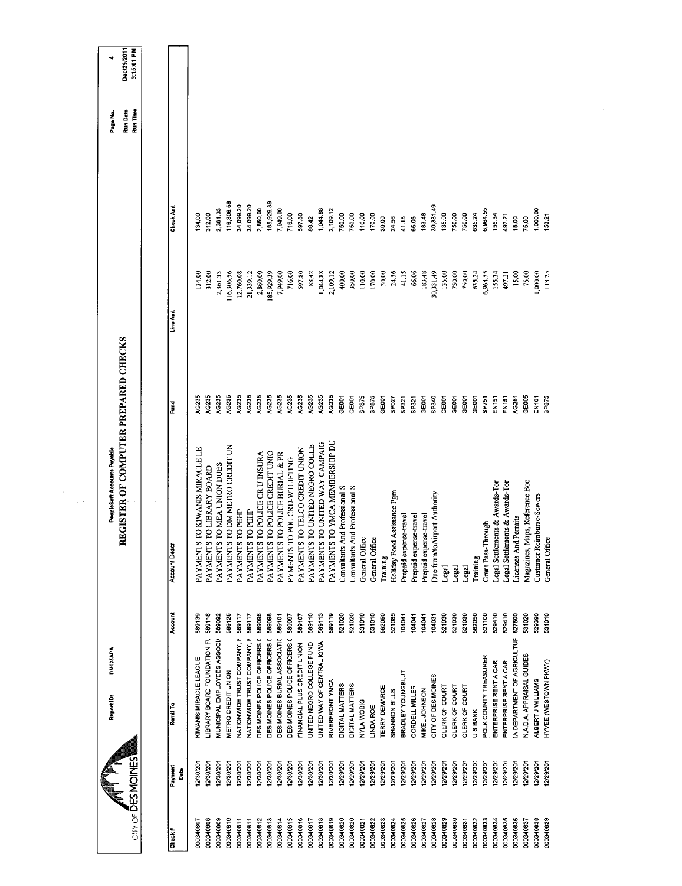| 116,306.56<br>185,929.39<br>34,099.20<br>34,099.20<br><b>Check Amt</b><br>30,331.49<br>2,860.00<br>2,361.33<br>7,949.00<br>1,044.88<br>2,109.12<br>6,964.55<br>1,000.00<br>597.80<br>312.00<br>716.00<br>750.00<br>110.00<br>183.48<br>135.00<br>750.00<br>750.00<br>635.24<br>134.00<br>750.00<br>170.00<br>155.34<br>49721<br>53,21<br>88.42<br>75.00<br>41.15<br>30.00<br>24.56<br>15.00<br>66.06<br>2,860.00<br>185,929.39<br>7,949.00<br>400.00<br>350,00<br>110,00<br>24.56<br>30,331.49<br>312.00<br>16,306.56<br>12,760.08<br>716.00<br>597.80<br>88.42<br>1,044.88<br>170.00<br>30.00<br>41.15<br>66.06<br>183.48<br>135.00<br>750.00<br>750,00<br>75.00<br>134.00<br>2,361.33<br>21,339.12<br>2,109.12<br>635.24<br>6,964.55<br>155.34<br>15.00<br>1,000.00<br>113.25<br>497.21<br>Line Amt<br>AG235<br>AG235<br>AG235<br>AG235<br>AC235<br>4G235<br>AG235<br>AG235<br>AG235<br>AG235<br>AG235<br>AG235<br>GE005<br>AG235<br>AG235<br>GEOD1<br>SP875<br>SP875<br>SP340<br>GEOOT<br>SP875<br>GE001<br>GE001<br>GE001<br>GEOOT<br>GE001<br>EN151<br>GEOOT<br>SPO27<br>SP751<br>AG251<br>EN101<br>SP321<br>EN <sub>151</sub><br>SP321<br>Fund<br>PAYMENTS TO YMCA MEMBERSHIP DU<br>PAYMENTS TO UNITED WAY CAMPAIG<br>PAYMENTS TO UNITED NEGRO COLLE<br>PAYMENTS TO DM METRO CREDIT UN<br>PAYMENTS TO KIWANIS MIRACLE LE<br>PAYMENTS TO TELCO CREDIT UNION<br>PAYMENTS TO POLICE CREDIT UNIO<br>PAYMENTS TO POLICE CR U INSURA<br>PAYMENTS TO POLICE BURIAL & PR<br>PYMENTS TO POL CRU-WTLIFTING<br>PAYMENTS TO MEA UNION DUES<br>PAYMENTS TO LIBRARY BOARD<br>Maps, Reference Boo<br>Legal Settlements & Awards-Tor<br>Legal Settlements & Awards-Tor<br>And Professional S<br>Consultants And Professional S<br>Holiday Food Assistance Pgm<br>Due from/toAirport Authority<br>Customer Reimburse-Sewers<br>PAYMENTS TO PEHP<br>PAYMENTS TO PEHP<br>Prepaid expense-travel<br>Prepaid expense-travel<br>Prepaid expense-travel<br>Licenses And Permits<br><b>Grant Pass-Through</b><br>Account Desc |                                                                    | DM025APA<br>Report ID: | REGISTER OF COMPUTER PREPARED CHECKS<br>PeopleSoft Accounts Payable |  | Run Date<br>Run Time<br>Page No. | Dec/29/2011<br>3:15:01 PM<br>d |
|-------------------------------------------------------------------------------------------------------------------------------------------------------------------------------------------------------------------------------------------------------------------------------------------------------------------------------------------------------------------------------------------------------------------------------------------------------------------------------------------------------------------------------------------------------------------------------------------------------------------------------------------------------------------------------------------------------------------------------------------------------------------------------------------------------------------------------------------------------------------------------------------------------------------------------------------------------------------------------------------------------------------------------------------------------------------------------------------------------------------------------------------------------------------------------------------------------------------------------------------------------------------------------------------------------------------------------------------------------------------------------------------------------------------------------------------------------------------------------------------------------------------------------------------------------------------------------------------------------------------------------------------------------------------------------------------------------------------------------------------------------------------------------------------------------------------------------------------------------------------------------------------------------------------------------------------------------------------------------------------------------------|--------------------------------------------------------------------|------------------------|---------------------------------------------------------------------|--|----------------------------------|--------------------------------|
|                                                                                                                                                                                                                                                                                                                                                                                                                                                                                                                                                                                                                                                                                                                                                                                                                                                                                                                                                                                                                                                                                                                                                                                                                                                                                                                                                                                                                                                                                                                                                                                                                                                                                                                                                                                                                                                                                                                                                                                                             |                                                                    |                        |                                                                     |  |                                  |                                |
|                                                                                                                                                                                                                                                                                                                                                                                                                                                                                                                                                                                                                                                                                                                                                                                                                                                                                                                                                                                                                                                                                                                                                                                                                                                                                                                                                                                                                                                                                                                                                                                                                                                                                                                                                                                                                                                                                                                                                                                                             | Account<br>Remit To                                                |                        |                                                                     |  |                                  |                                |
|                                                                                                                                                                                                                                                                                                                                                                                                                                                                                                                                                                                                                                                                                                                                                                                                                                                                                                                                                                                                                                                                                                                                                                                                                                                                                                                                                                                                                                                                                                                                                                                                                                                                                                                                                                                                                                                                                                                                                                                                             | 589139<br>KIWANIS MIRACLE LEAGUE                                   |                        |                                                                     |  |                                  |                                |
|                                                                                                                                                                                                                                                                                                                                                                                                                                                                                                                                                                                                                                                                                                                                                                                                                                                                                                                                                                                                                                                                                                                                                                                                                                                                                                                                                                                                                                                                                                                                                                                                                                                                                                                                                                                                                                                                                                                                                                                                             | 589118<br>LIBRARY BOARD FOUNDATION FL                              |                        |                                                                     |  |                                  |                                |
|                                                                                                                                                                                                                                                                                                                                                                                                                                                                                                                                                                                                                                                                                                                                                                                                                                                                                                                                                                                                                                                                                                                                                                                                                                                                                                                                                                                                                                                                                                                                                                                                                                                                                                                                                                                                                                                                                                                                                                                                             | MUNICIPAL EMPLOYEES ASSOCIA 589092                                 |                        |                                                                     |  |                                  |                                |
|                                                                                                                                                                                                                                                                                                                                                                                                                                                                                                                                                                                                                                                                                                                                                                                                                                                                                                                                                                                                                                                                                                                                                                                                                                                                                                                                                                                                                                                                                                                                                                                                                                                                                                                                                                                                                                                                                                                                                                                                             | 589125<br>NATIONWIDE TRUST COMPANY, F 589117<br>METRO CREDIT UNION |                        |                                                                     |  |                                  |                                |
|                                                                                                                                                                                                                                                                                                                                                                                                                                                                                                                                                                                                                                                                                                                                                                                                                                                                                                                                                                                                                                                                                                                                                                                                                                                                                                                                                                                                                                                                                                                                                                                                                                                                                                                                                                                                                                                                                                                                                                                                             | 589117<br>NATIONWIDE TRUST COMPANY, F                              |                        |                                                                     |  |                                  |                                |
|                                                                                                                                                                                                                                                                                                                                                                                                                                                                                                                                                                                                                                                                                                                                                                                                                                                                                                                                                                                                                                                                                                                                                                                                                                                                                                                                                                                                                                                                                                                                                                                                                                                                                                                                                                                                                                                                                                                                                                                                             | 589095<br>DES MOINES POLICE OFFICERS C                             |                        |                                                                     |  |                                  |                                |
|                                                                                                                                                                                                                                                                                                                                                                                                                                                                                                                                                                                                                                                                                                                                                                                                                                                                                                                                                                                                                                                                                                                                                                                                                                                                                                                                                                                                                                                                                                                                                                                                                                                                                                                                                                                                                                                                                                                                                                                                             | 589098<br>DES MOINES POLICE OFFICERS (                             |                        |                                                                     |  |                                  |                                |
|                                                                                                                                                                                                                                                                                                                                                                                                                                                                                                                                                                                                                                                                                                                                                                                                                                                                                                                                                                                                                                                                                                                                                                                                                                                                                                                                                                                                                                                                                                                                                                                                                                                                                                                                                                                                                                                                                                                                                                                                             | 589101<br>DES MOINES BURIAL ASSOCIATIC                             |                        |                                                                     |  |                                  |                                |
|                                                                                                                                                                                                                                                                                                                                                                                                                                                                                                                                                                                                                                                                                                                                                                                                                                                                                                                                                                                                                                                                                                                                                                                                                                                                                                                                                                                                                                                                                                                                                                                                                                                                                                                                                                                                                                                                                                                                                                                                             | 589097<br>DES MOINES POLICE OFFICERS (                             |                        |                                                                     |  |                                  |                                |
|                                                                                                                                                                                                                                                                                                                                                                                                                                                                                                                                                                                                                                                                                                                                                                                                                                                                                                                                                                                                                                                                                                                                                                                                                                                                                                                                                                                                                                                                                                                                                                                                                                                                                                                                                                                                                                                                                                                                                                                                             | 589107<br>FINANCIAL PLUS CREDIT UNION                              |                        |                                                                     |  |                                  |                                |
|                                                                                                                                                                                                                                                                                                                                                                                                                                                                                                                                                                                                                                                                                                                                                                                                                                                                                                                                                                                                                                                                                                                                                                                                                                                                                                                                                                                                                                                                                                                                                                                                                                                                                                                                                                                                                                                                                                                                                                                                             | 589110<br>UNITED NEGRO COLLEGE FUND                                |                        |                                                                     |  |                                  |                                |
|                                                                                                                                                                                                                                                                                                                                                                                                                                                                                                                                                                                                                                                                                                                                                                                                                                                                                                                                                                                                                                                                                                                                                                                                                                                                                                                                                                                                                                                                                                                                                                                                                                                                                                                                                                                                                                                                                                                                                                                                             | 589113<br>UNITED WAY OF CENTRAL IOWA                               |                        |                                                                     |  |                                  |                                |
|                                                                                                                                                                                                                                                                                                                                                                                                                                                                                                                                                                                                                                                                                                                                                                                                                                                                                                                                                                                                                                                                                                                                                                                                                                                                                                                                                                                                                                                                                                                                                                                                                                                                                                                                                                                                                                                                                                                                                                                                             | 589119<br>RIVERFRONT YMCA                                          |                        |                                                                     |  |                                  |                                |
|                                                                                                                                                                                                                                                                                                                                                                                                                                                                                                                                                                                                                                                                                                                                                                                                                                                                                                                                                                                                                                                                                                                                                                                                                                                                                                                                                                                                                                                                                                                                                                                                                                                                                                                                                                                                                                                                                                                                                                                                             | Consultants<br>521020<br><b>DIGITAL MATTERS</b>                    |                        |                                                                     |  |                                  |                                |
|                                                                                                                                                                                                                                                                                                                                                                                                                                                                                                                                                                                                                                                                                                                                                                                                                                                                                                                                                                                                                                                                                                                                                                                                                                                                                                                                                                                                                                                                                                                                                                                                                                                                                                                                                                                                                                                                                                                                                                                                             | 521020<br>DIGITAL MATTERS                                          |                        |                                                                     |  |                                  |                                |
|                                                                                                                                                                                                                                                                                                                                                                                                                                                                                                                                                                                                                                                                                                                                                                                                                                                                                                                                                                                                                                                                                                                                                                                                                                                                                                                                                                                                                                                                                                                                                                                                                                                                                                                                                                                                                                                                                                                                                                                                             | General Office<br>531010<br>NYLA WOBIG                             |                        |                                                                     |  |                                  |                                |
|                                                                                                                                                                                                                                                                                                                                                                                                                                                                                                                                                                                                                                                                                                                                                                                                                                                                                                                                                                                                                                                                                                                                                                                                                                                                                                                                                                                                                                                                                                                                                                                                                                                                                                                                                                                                                                                                                                                                                                                                             | General Office<br>531010<br>LINDA ROE                              |                        |                                                                     |  |                                  |                                |
|                                                                                                                                                                                                                                                                                                                                                                                                                                                                                                                                                                                                                                                                                                                                                                                                                                                                                                                                                                                                                                                                                                                                                                                                                                                                                                                                                                                                                                                                                                                                                                                                                                                                                                                                                                                                                                                                                                                                                                                                             | Training<br>562050<br>TERRY DEMARCE                                |                        |                                                                     |  |                                  |                                |
|                                                                                                                                                                                                                                                                                                                                                                                                                                                                                                                                                                                                                                                                                                                                                                                                                                                                                                                                                                                                                                                                                                                                                                                                                                                                                                                                                                                                                                                                                                                                                                                                                                                                                                                                                                                                                                                                                                                                                                                                             | 521085<br>SHANNON BILLS                                            |                        |                                                                     |  |                                  |                                |
|                                                                                                                                                                                                                                                                                                                                                                                                                                                                                                                                                                                                                                                                                                                                                                                                                                                                                                                                                                                                                                                                                                                                                                                                                                                                                                                                                                                                                                                                                                                                                                                                                                                                                                                                                                                                                                                                                                                                                                                                             | 104041<br>BRADLEY YOUNGBLUT                                        |                        |                                                                     |  |                                  |                                |
|                                                                                                                                                                                                                                                                                                                                                                                                                                                                                                                                                                                                                                                                                                                                                                                                                                                                                                                                                                                                                                                                                                                                                                                                                                                                                                                                                                                                                                                                                                                                                                                                                                                                                                                                                                                                                                                                                                                                                                                                             | 104041<br>104041<br>CORDELL MILLER<br>MIKEL JOHNSON                |                        |                                                                     |  |                                  |                                |
|                                                                                                                                                                                                                                                                                                                                                                                                                                                                                                                                                                                                                                                                                                                                                                                                                                                                                                                                                                                                                                                                                                                                                                                                                                                                                                                                                                                                                                                                                                                                                                                                                                                                                                                                                                                                                                                                                                                                                                                                             | 104031<br>CITY OF DES MOINES                                       |                        |                                                                     |  |                                  |                                |
|                                                                                                                                                                                                                                                                                                                                                                                                                                                                                                                                                                                                                                                                                                                                                                                                                                                                                                                                                                                                                                                                                                                                                                                                                                                                                                                                                                                                                                                                                                                                                                                                                                                                                                                                                                                                                                                                                                                                                                                                             | Legal<br>521030<br>CLERK OF COURT                                  |                        |                                                                     |  |                                  |                                |
|                                                                                                                                                                                                                                                                                                                                                                                                                                                                                                                                                                                                                                                                                                                                                                                                                                                                                                                                                                                                                                                                                                                                                                                                                                                                                                                                                                                                                                                                                                                                                                                                                                                                                                                                                                                                                                                                                                                                                                                                             | Legal<br>521030<br>CLERK OF COURT                                  |                        |                                                                     |  |                                  |                                |
|                                                                                                                                                                                                                                                                                                                                                                                                                                                                                                                                                                                                                                                                                                                                                                                                                                                                                                                                                                                                                                                                                                                                                                                                                                                                                                                                                                                                                                                                                                                                                                                                                                                                                                                                                                                                                                                                                                                                                                                                             | Legal<br>521030<br>CLERK OF COURT                                  |                        |                                                                     |  |                                  |                                |
|                                                                                                                                                                                                                                                                                                                                                                                                                                                                                                                                                                                                                                                                                                                                                                                                                                                                                                                                                                                                                                                                                                                                                                                                                                                                                                                                                                                                                                                                                                                                                                                                                                                                                                                                                                                                                                                                                                                                                                                                             | Training<br>562050<br><b>USBANK</b>                                |                        |                                                                     |  |                                  |                                |
|                                                                                                                                                                                                                                                                                                                                                                                                                                                                                                                                                                                                                                                                                                                                                                                                                                                                                                                                                                                                                                                                                                                                                                                                                                                                                                                                                                                                                                                                                                                                                                                                                                                                                                                                                                                                                                                                                                                                                                                                             | 521100<br>POLK COUNTY TREASURER                                    |                        |                                                                     |  |                                  |                                |
|                                                                                                                                                                                                                                                                                                                                                                                                                                                                                                                                                                                                                                                                                                                                                                                                                                                                                                                                                                                                                                                                                                                                                                                                                                                                                                                                                                                                                                                                                                                                                                                                                                                                                                                                                                                                                                                                                                                                                                                                             | 529410<br>ENTERPRISE RENT A CAR                                    |                        |                                                                     |  |                                  |                                |
|                                                                                                                                                                                                                                                                                                                                                                                                                                                                                                                                                                                                                                                                                                                                                                                                                                                                                                                                                                                                                                                                                                                                                                                                                                                                                                                                                                                                                                                                                                                                                                                                                                                                                                                                                                                                                                                                                                                                                                                                             | 529410<br>ENTERPRISE RENT A CAR                                    |                        |                                                                     |  |                                  |                                |
|                                                                                                                                                                                                                                                                                                                                                                                                                                                                                                                                                                                                                                                                                                                                                                                                                                                                                                                                                                                                                                                                                                                                                                                                                                                                                                                                                                                                                                                                                                                                                                                                                                                                                                                                                                                                                                                                                                                                                                                                             | 527500<br>A DEPARTMENT OF AGRICULTUR                               |                        |                                                                     |  |                                  |                                |
|                                                                                                                                                                                                                                                                                                                                                                                                                                                                                                                                                                                                                                                                                                                                                                                                                                                                                                                                                                                                                                                                                                                                                                                                                                                                                                                                                                                                                                                                                                                                                                                                                                                                                                                                                                                                                                                                                                                                                                                                             | Magazines,<br>531020<br>N.A.D.A. APPRAISAL GUIDES                  |                        |                                                                     |  |                                  |                                |
|                                                                                                                                                                                                                                                                                                                                                                                                                                                                                                                                                                                                                                                                                                                                                                                                                                                                                                                                                                                                                                                                                                                                                                                                                                                                                                                                                                                                                                                                                                                                                                                                                                                                                                                                                                                                                                                                                                                                                                                                             | 529390<br>ALBERT J WILLIAMS                                        |                        |                                                                     |  |                                  |                                |
|                                                                                                                                                                                                                                                                                                                                                                                                                                                                                                                                                                                                                                                                                                                                                                                                                                                                                                                                                                                                                                                                                                                                                                                                                                                                                                                                                                                                                                                                                                                                                                                                                                                                                                                                                                                                                                                                                                                                                                                                             | General Office<br>531010<br>HYVEE (WESTOWN PKWY)                   |                        |                                                                     |  |                                  |                                |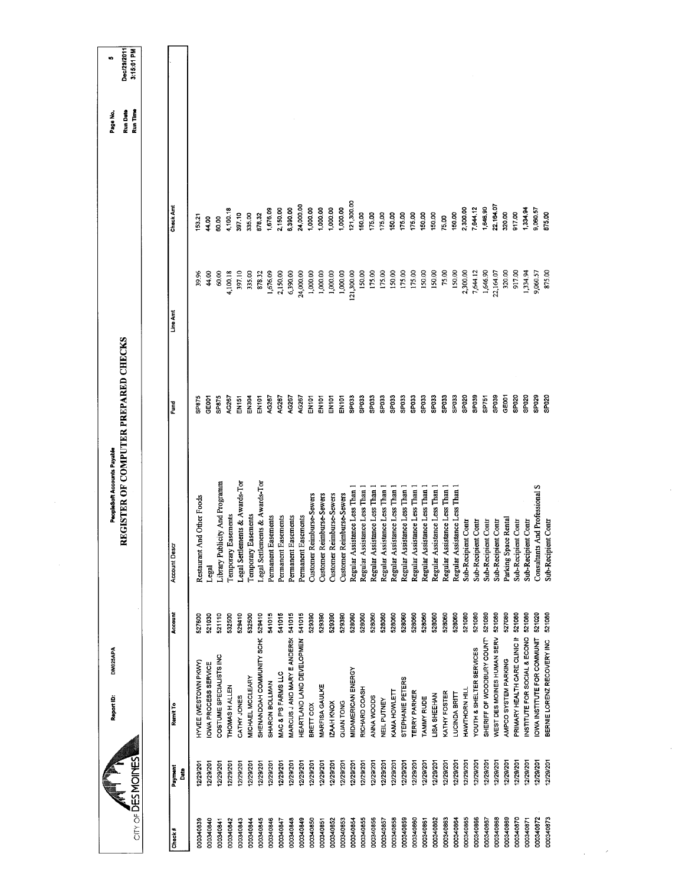|                        | <b>DM025APA</b><br>Report ID:    |         | REGISTER OF COMPUTER PREPARED CHECKS<br>PeopleSoft Accounts Payable |                   |            |           | Page No.                    | o                         |
|------------------------|----------------------------------|---------|---------------------------------------------------------------------|-------------------|------------|-----------|-----------------------------|---------------------------|
| City of DES MOINES     |                                  |         |                                                                     |                   |            |           | <b>Run Date</b><br>Run Time | Dec/29/2011<br>3:15:01 PM |
|                        |                                  |         |                                                                     |                   |            |           |                             |                           |
| Payment<br>å<br>Check# | Remit To                         | Account | Account Descr                                                       | Ēund              | Line Amt   | Check Amt |                             |                           |
| 12/29/20<br>000340839  | HYVEE (WESTOWN PKWY)             | 527600  | And Other Foods<br>Restaurant                                       | SP875             | 39.96      | 53.21     |                             |                           |
| 12/29/201<br>000340840 | IOWA PROCESS SERVICE             | 521030  | Legal                                                               | GE001             | 44,00      | 44.00     |                             |                           |
| 12/29/201<br>000340841 | COSTUME SPECIALISTS INC          | 521110  | Library Publicity And Programm                                      | SP875             | 60.00      | 60.00     |                             |                           |
| 12/29/201<br>000340842 | THOMAS HALLEN                    | 532500  | Easements<br>Temporary                                              | 4G267             | 4,100.18   | 4,100.18  |                             |                           |
| 12/29/201<br>000340843 | CATHY JONES                      | 529410  | Legal Settlements & Awards-Tor                                      | $-14151$          | 397.10     | 397.10    |                             |                           |
| 12/29/201<br>000340844 | MICHAEL MCCLEARY                 | 532500  | Temporary Easements                                                 | EN304             | 335.00     | 335.00    |                             |                           |
| 12/29/201<br>000340845 | SHENANDOAH COMMUNITY SCHC        | 529410  | Legal Settlements & Awards-Tor                                      | EN101             | 878.32     | 878.32    |                             |                           |
| 12/3/201<br>000340846  | SHARON BOLLMAN                   | 541015  | Permanent Easements                                                 | AG267             | 1,676.09   | 1,676.09  |                             |                           |
| 12/29/201<br>000340847 | MAC & P'S FARMS LLC              | 541015  | Easements<br>Permanent                                              | AG267             | 2,150.00   | 2,150.00  |                             |                           |
| 12/29/201<br>000340848 | MARCUS JAND MARY E ANDERS(541015 |         | <b>Easements</b><br>Permanent                                       | AG267             | 6,390.00   | 5,390.00  |                             |                           |
| 12/29/201<br>000340849 | HEARTLAND LAND DEVELOPMEN        | 541015  | Easements<br>Permanent                                              | AG267             | 24,000.00  | 24,000.00 |                             |                           |
| 12/29/201<br>000340850 | BRETT COX                        | 529390  | Customer Reimburse-Sewers                                           | EN101             | 1,000.00   | 1,000,00  |                             |                           |
| 12/29/201<br>000340851 | MARFISA GAULKE                   | 529390  | Customer Reimburse-Sewers                                           | EN101             | 1,000.00   | 1,000.00  |                             |                           |
| 12/29/201<br>000340852 | IZAAH KNOX                       | 529390  | Customer Reimburse-Sewers                                           | EN101             | 1,000.00   | 1,000.00  |                             |                           |
| 12/29/201<br>000340853 | QUAN TONG                        | 529390  | Customer Reimburse-Sewers                                           | <b>EN101</b>      | 1,000.00   | 1,000.00  |                             |                           |
| 12/29/201<br>000340854 | MIDAMERICAN ENERGY               | 528060  | Regular Assistance Less Than                                        | SPO33             | 121,300.00 | 21,300.00 |                             |                           |
| 12/29/201<br>000340855 | RICHARD COASH                    | 528060  | Regular Assistance Less Than                                        | SPO33             | 150.00     | 150.00    |                             |                           |
| 12/29/201<br>000340856 | ANNA WOODS                       | 528060  | Regular Assistance Less Than                                        | SP033             | 175.00     | 175.00    |                             |                           |
| 12/29/201<br>000340857 | NEIL PUTNEY                      | 528060  | Regular Assistance Less Than                                        | SPO33             | 175.00     | 175.00    |                             |                           |
| 12/29/201<br>000340858 | KAMA HOWLETT                     | 528060  | Regular Assistance Less Than                                        | SPO33             | 150.00     | 150.00    |                             |                           |
| 12/29/201<br>000340859 | STEPHANE PETERS                  | 528060  | Regular Assistance Less Than                                        | SPO33             | 175.00     | 175.00    |                             |                           |
| 12/29/201<br>000340860 | <b>TERRY PARKER</b>              | 528060  | Regular Assistance Less Than                                        | SPO33             | 175.00     | 175.00    |                             |                           |
| 12/29/201<br>000340861 | <b>TAMMY RUDE</b>                | 528060  | Regular Assistance Less Than 1                                      | SPO33             | 150,00     | 150,00    |                             |                           |
| 12/29/201<br>000340862 | LISA SHEEHAN                     | 528060  | Regular Assistance Less Than                                        | SPO33             | 150,00     | 150.00    |                             |                           |
| 12/29/201<br>000340863 | KATHY FOSTER                     | 528060  | Regular Assistance Less Than                                        | SPO <sub>3</sub>  | 75.00      | 75.00     |                             |                           |
| 12/29/201<br>000340864 | LUCINDA BRITT                    | 528060  | Regular Assistance Less Than 1                                      | SPO <sub>3</sub>  | 150,00     | 150.00    |                             |                           |
| 12/29/201<br>000340865 | HAWTHORN HILL                    | 521080  | Sub-Recipient Contr                                                 | SPO <sub>20</sub> | 2,300.00   | 2,300.00  |                             |                           |
| 12/29/201<br>000340866 | YOUTH & SHELTER SERVICES         | 521080  | Sub-Recipient Contr                                                 | SP <sub>039</sub> | 7,644.12   | 7,644.12  |                             |                           |
| 12/29/201<br>000340867 | SHERIFF OF WOODBURY COUNTY       | 521080  | Sub-Recipient Contr                                                 | SP751             | 1,646.90   | 1,646.90  |                             |                           |
| 12/29/201<br>000340868 | WEST DES MOINES HUMAN SERV       | 521080  | Sub-Recipient Contr                                                 | SP <sub>039</sub> | 22,164.07  | 22,164.07 |                             |                           |
| 12/29/201<br>000340869 | AMPCO SYSTEM PARKING             | 527080  | Parking Space Rental                                                | GE <sub>001</sub> | 320.00     | 320.00    |                             |                           |
| 12/29/201<br>000340870 | PRIMARY HEALTH CARE CLINIC IN    | 521080  | Sub-Recipient Contr                                                 | SP020             | 917.00     | 917.00    |                             |                           |
| 2/29/201<br>000340871  | NSTITUTE FOR SOCIAL & ECONO      | 521080  | Sub-Recipient Contr                                                 | SPO <sub>20</sub> | 1,334.94   | 1,334.94  |                             |                           |
| 12/29/201<br>000340872 | OWA INSTITUTE FOR COMMUNIT       | 521020  | Consultants And Professional S                                      | SPO29             | 9,060.57   | 3,060.57  |                             |                           |
| 12/29/201<br>000340873 | BERNIE LORENZ RECOVERY INC       | 521080  | Sub-Recipient Contr                                                 | SP020             | 875.00     | 875.00    |                             |                           |
|                        |                                  |         |                                                                     |                   |            |           |                             |                           |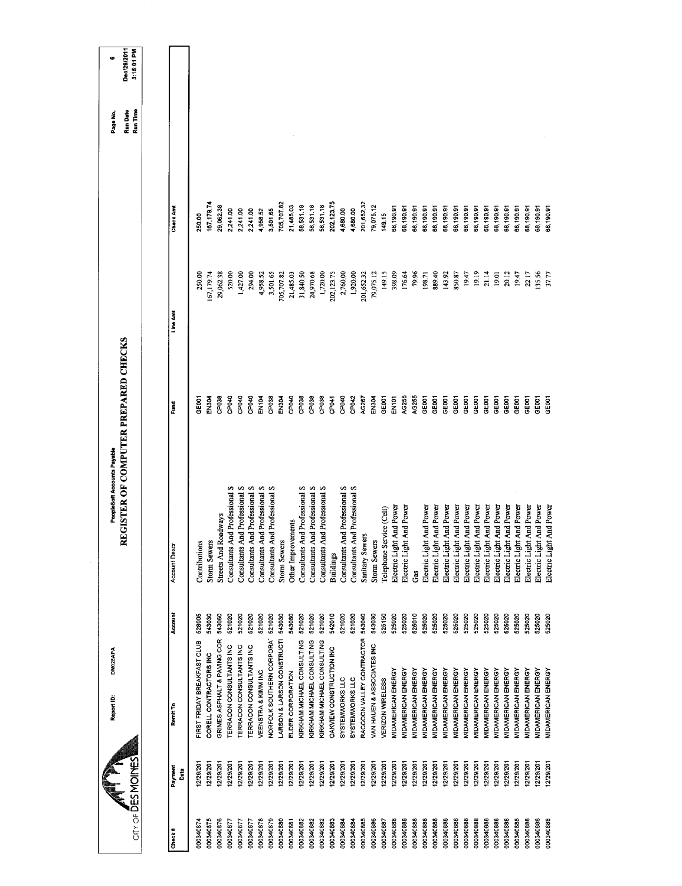| City of DES MOINES |                 | <b>DM025APA</b><br>Report ID:   |         | EGISTER OF COMPUTER PREPARED CHECKS<br>PeopleSoft Accounts Payable<br>≃ |                    |             |                  | Run Time<br>Run Date<br>Page No. | Dec/29/2011<br>3:15:01 PM<br>٠ |
|--------------------|-----------------|---------------------------------|---------|-------------------------------------------------------------------------|--------------------|-------------|------------------|----------------------------------|--------------------------------|
| Check#             | Payment<br>Date | Remit To                        | Account | Account Descr                                                           | š                  | Line Amt    | <b>Check And</b> |                                  |                                |
| 000340874          | 12/29/20        | FIRST FRIDAY BREAKFAST CLUB     | 528005  | Contributions                                                           | GE001              | 250.00      | 250.00           |                                  |                                |
| 000340875          | 12/29/201       | CORELL CONTRACTORS INC          | 543030  | <b>Storm Sewers</b>                                                     | EN304              | 167,179.74  | 167,17974        |                                  |                                |
| 000340876          | 12/29/201       | GRIMES ASPHALT & PAVING COR     | 543060  | <b>Streets And Roadways</b>                                             | CP <sub>038</sub>  | 29,062.38   | 29,062.38        |                                  |                                |
| 000340877          | 12/29/201       | <b>TERRACON CONSULTANTS INC</b> | 521020  | Consultants And Professional S                                          | CP04D              | 520.00      | 2,241.00         |                                  |                                |
| 000340877          | 12/29/201       | TERRACON CONSULTANTS INC        | 521020  | Consultants And Professional S                                          | CPD4D              | 1,427.00    | 2,241.00         |                                  |                                |
| 000340877          | 12/29/201       | TERRACON CONSULTANTS INC        | 521020  | Consultants And Professional S                                          | CP <sub>040</sub>  | 294,00      | 2,241.00         |                                  |                                |
| 000340878          | 12/29/20        | VEENSTRA & KIMM INC             | 521020  | Consultants And Professional S                                          | EN104              | 4,958.52    | 4,958.52         |                                  |                                |
| 000340879          | 12/29/201       | NORFOLK SOUTHERN CORPORAT       | 521020  | Consultants And Professional S                                          | CP <sub>038</sub>  | 3,501.65    | 3,501.65         |                                  |                                |
| 000340880          | 12/29/20        | ARSON & LARSON CONSTRUCTI       | 543030  | <b>Storm Sewers</b>                                                     | EN304              | 705,707.82  | 705,707.82       |                                  |                                |
| 000340881          | 12/29/201       | ELDER CORPORATION               | 543080  | Other Improvements                                                      | CP040              | 21,485.03   | 21,485.03        |                                  |                                |
| 000340882          | 12/29/201       | KIRKHAM MICHAEL CONSULTING      | 521020  | Consultants And Professional S                                          | CP <sub>03</sub> 8 | 31,840.50   | 58,531.18        |                                  |                                |
| 000340882          | 12/29/201       | KIRKHAM MICHAEL CONSULTING      | 521020  | Consultants And Professional S                                          | CP <sub>038</sub>  | 24,970.68   | 58,531.18        |                                  |                                |
| 000340882          | 12/29/20        | KIRKHAM MICHAEL CONSULTING      | 521020  | Consultants And Professional S                                          | CP038              | 1,720.00    | 58,531.18        |                                  |                                |
| 000340883          | 12/29/201       | OAKVIEW CONSTRUCTION INC        | 542010  | <b>Buildings</b>                                                        | CP041              | 202, 123.75 | 202, 123.75      |                                  |                                |
| 000340884          | 12/29/201       | SYSTEMWORKS LLC                 | 521020  | Consultants And Professional S                                          | CPD4D              | 2,760.00    | 4,680.00         |                                  |                                |
| 000340884          | 12/29/201       | SYSTEMWORKS LLC                 | 521020  | Consultants And Professional S                                          | CP042              | 1,920.00    | 4,580.00         |                                  |                                |
| 000340885          | 12/29/201       | RACCOON VALLEY CONTRACTOR       | 543040  | Sanitary Sewers                                                         | AG267              | 201,652.32  | 201,652.32       |                                  |                                |
| 000340886          | 12/29/201       | VAN HAUEN & ASSOCIATES INC      | 543030  | <b>Storm Sewers</b>                                                     | <b>EN304</b>       | 79,075.12   | 79,075,12        |                                  |                                |
| 000340887          | 12/29/201       | VERIZON WIRELESS                | 525150  | Telephone Service (Cell)                                                | GE001              | 149.15      | 149.15           |                                  |                                |
| 000340888          | 12/29/201       | MIDAMERICAN ENERGY              | 525020  | And Power<br>Electric Light                                             | EN101              | 398.09      | 68,190.91        |                                  |                                |
| 000340888          | 12/29/201       | <b>MIDAMERICAN ENERGY</b>       | 525020  | And Power<br>Electric Light                                             | AG255              | 176.64      | 68,190.91        |                                  |                                |
| 000340888          | 12/29/201       | MIDAMERICAN ENERGY              | 525010  | Ğ                                                                       | AG255              | 79.96       | 68,19091         |                                  |                                |
| 000340888          | 12/29/201       | <b>MIDAMERICAN ENERGY</b>       | 525020  | And Power<br>Electric Light                                             | GE001              | 198.71      | 68,190.91        |                                  |                                |
| 000340888          | 12/29/201       | MIDAMERICAN ENERGY              | 525020  | And Power<br>Electric Light                                             | GE001              | 889.40      | 68,190.91        |                                  |                                |
| 000340888          | 12/29/201       | MIDAMERICAN ENERGY              | 525020  | And Power<br>Electric Light                                             | GE001              | 143.92      | 68,190.91        |                                  |                                |
| 000340888          | 12/29/201       | MIDAMERICAN ENERGY              | 525020  | And Power<br>Electric Light                                             | GEOOT              | 850.87      | 68,190.91        |                                  |                                |
| 000340888          | 12/29/201       | MIDAMERICAN ENERGY              | 525020  | And Power<br>Electric Light                                             | GEODT              | 19.47       | 68,190.91        |                                  |                                |
| 000340888          | 12/29/201       | MIDAMERICAN ENERGY              | 525020  | And Power<br>Electric Light                                             | GEOOT              | 19.19       | 6.061,89         |                                  |                                |
| 000340888          | 12/29/201       | MIDAMERICAN ENERGY              | 525020  | And Power<br>Electric Light                                             | GE001              | 21.14       | 68,190.91        |                                  |                                |
| 000340888          | 12/29/201       | MIDAMERICAN ENERGY              | 525020  | And Power<br>Electric Light                                             | GEODT              | 19.01       | 68,190.91        |                                  |                                |
| 000340888          | 12/29/201       | MIDAMERICAN ENERGY              | 525020  | And Power<br>Electric Light                                             | GEOOT              | 20.12       | 60.190.91        |                                  |                                |
| 000340888          | 12/29/201       | MIDAMERICAN ENERGY              | 525020  | And Power<br>Electric Light                                             | GE001              | 19.47       | 68,190.91        |                                  |                                |
| 000340888          | 12/29/201       | MIDAMERICAN ENERGY              | 525020  | And Power<br>Electric Light                                             | GE001              | 22.17       | 68,190.91        |                                  |                                |
| 000340888          | 12/29/201       | MIDAMERICAN ENERGY              | 525020  | And Power<br>Electric Light                                             | GE001              | 135.56      | 68,190.91        |                                  |                                |
| 000340888          | 12/29/201       | <b>MIDAMERICAN ENERGY</b>       | 525020  | And Power<br>Electric Light                                             | GE001              | 37.77       |                  |                                  |                                |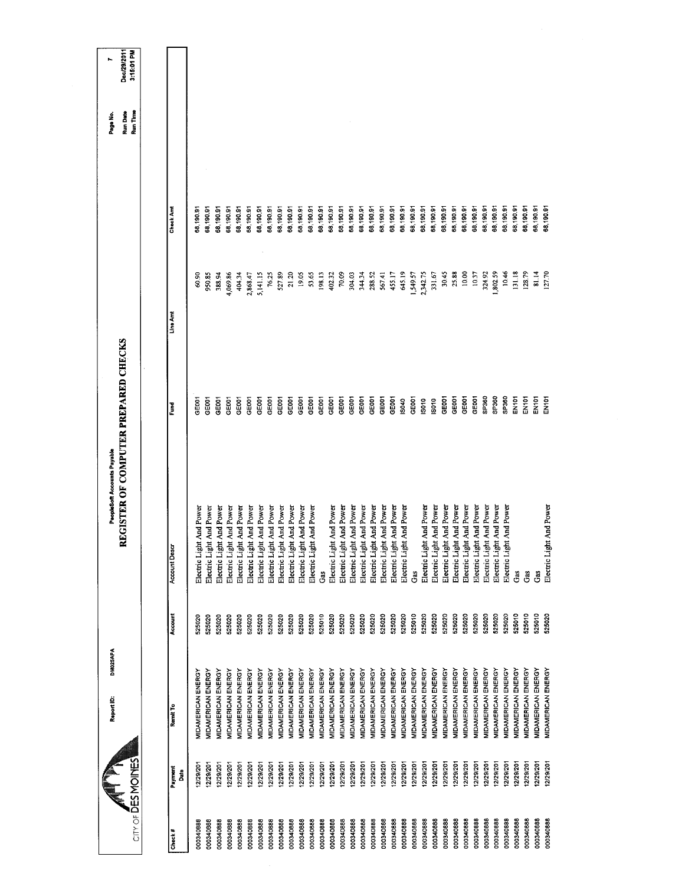| CITY OF DES MOMOINES       | DM025APA<br>Report ID:    |         | REGISTER OF COMPUTER PREPARED CHECKS<br>PeopleSoft Accounts Payable |                   |           |           | Run Date<br>Run Time<br>Page No. | Dec/29/2011<br>3:15:01 PM<br>۰. |
|----------------------------|---------------------------|---------|---------------------------------------------------------------------|-------------------|-----------|-----------|----------------------------------|---------------------------------|
|                            |                           |         |                                                                     |                   |           |           |                                  |                                 |
| Payment<br>Date<br>Check # | Remit To                  | Account | <b>Account Descr</b>                                                | š                 | Line Armt | Check Amt |                                  |                                 |
| 2/29/201<br>000340888      | <b>MIDAMERICAN ENERGY</b> | 525020  | Electric Light And Power                                            | GEDO1             | 60.90     | 58,190.91 |                                  |                                 |
| 12/29/201<br>000340888     | MIDAMERICAN ENERGY        | 525020  | ght And Power<br>Electric Li                                        | GEOOT             | 950.85    | 58,190.91 |                                  |                                 |
| 12/29/201<br>000340888     | <b>MIDAMERICAN ENERGY</b> | 525020  | Electric Light And Power                                            | GEOOT             | 388.94    | 58,190.91 |                                  |                                 |
| 12/29/201<br>000340888     | <b>MIDAMERICAN ENERGY</b> | 525020  | Electric Light And Power                                            | GE001             | 4,069.86  | 58,190.91 |                                  |                                 |
| 12/29/201<br>000340888     | MIDAMERICAN ENERGY        | 525020  | Electric Light And Power                                            | GE001             | 404.34    | 58,190.91 |                                  |                                 |
| 2/29/201<br>000340888      | MIDAMERICAN ENERGY        | 525020  | Electric Light And Power                                            | GEODT             | 2,868.47  | 58,190.91 |                                  |                                 |
| 12/29/201<br>000340888     | MIDAMERICAN ENERGY        | 525020  | Electric Light And Power                                            | GEOD1             | 5,141.15  | 58,190.91 |                                  |                                 |
| 12/29/201<br>000340888     | MIDAMERICAN ENERGY        | 525020  | Electric Light And Power                                            | GEOD1             | 76.25     | 58,190.91 |                                  |                                 |
| 2/29/201<br>000340888      | <b>MIDAMERICAN ENERGY</b> | 525020  | Electric Light And Power                                            | GEODT             | 527.89    | 6.08,190  |                                  |                                 |
| 12/29/201<br>00034088      | <b>MIDAMERICAN ENERGY</b> | 525020  | Electric Light And Power                                            | GE001             | 21.20     | 88,190.91 |                                  |                                 |
| 12/29/201<br>000340888     | MIDAMERICAN ENERGY        | 525020  | Electric Light And Power                                            | GEOOT             | 19.05     | 38,190.91 |                                  |                                 |
| 2/29/201<br>000340888      | MIDAMERICAN ENERGY        | 525020  | Electric Light And Power                                            | GEOOT             | 53.65     | 68,190.91 |                                  |                                 |
| 12/29/201<br>000340888     | MIDAMERICAN ENERGY        | 525010  | Gas                                                                 | GE001             | 198.13    | 88,190.91 |                                  |                                 |
| 12/29/201<br>000340888     | MIDAMERICAN ENERGY        | 525020  | Electric Light And Power                                            | GE001             | 402.32    | 58,190.91 |                                  |                                 |
| 12/29/201<br>000340888     | MIDAMERICAN ENERGY        | 525020  | Electric Light And Power                                            | GE001             | 70.09     | 58,190.91 |                                  |                                 |
| 12/29/201<br>000340888     | <b>MIDAMERICAN ENERGY</b> | 525020  | Electric Light And Power                                            | GE001             | 304.03    | 58,190.91 |                                  |                                 |
| 12/29/201<br>000340888     | MIDAMERICAN ENERGY        | 525020  | Electric Light And Power                                            | GE001             | 344.34    | 38,190.91 |                                  |                                 |
| 12/29/201<br>000340888     | MIDAMERICAN ENERGY        | 525020  | Electric Light And Power                                            | GE001             | 288.52    | 68,190,91 |                                  |                                 |
| 12/29/201<br>000340888     | MIDAMERICAN ENERGY        | 525020  | Electric Light And Power                                            | GE001             | 567.41    | 68,190.91 |                                  |                                 |
| 12/29/201<br>000340888     | MIDAMERICAN ENERGY        | 525020  | Electric Light And Power                                            | GE001             | 455.17    | 58,190.91 |                                  |                                 |
| 12/29/201<br>000340888     | MIDAMERICAN ENERGY        | 525020  | Electric Light And Power                                            | 19040             | 645.19    | 68,190.91 |                                  |                                 |
| 12/29/201<br>000340888     | <b>MIDAMERICAN ENERGY</b> | 525010  | Gas                                                                 | GE001             | 1,549.57  | 58,190.91 |                                  |                                 |
| 12/29/201<br>000340888     | <b>MIDAMERICAN ENERGY</b> | 525020  | Electric Light And Power                                            | IS010             | 2,342.75  | 68,190.91 |                                  |                                 |
| 12/29/201<br>000340888     | MIDAMERICAN ENERGY        | 525020  | Electric Light And Power                                            | 18010             | 331.67    | 58,190.91 |                                  |                                 |
| 12/29/201<br>000340888     | <b>MIDAMERICAN ENERGY</b> | 525020  | Electric Light And Power                                            | GE001             | 30.45     | 58,190.91 |                                  |                                 |
| 12/29/201<br>000340888     | <b>MIDAMERICAN ENERGY</b> | 525020  | Electric Light And Power                                            | GE001             | 25.88     | 58,190.91 |                                  |                                 |
| 12/29/201<br>000340888     | <b>MIDAMERICAN ENERGY</b> | 525020  | Electric Light And Power                                            | GEOOT             | 10.00     | 68,190.91 |                                  |                                 |
| 12/29/201<br>000340888     | MIDAMERICAN ENERGY        | 525020  | Electric Light And Power                                            | GE001             | 10.37     | 68,190.91 |                                  |                                 |
| 12/29/201<br>000340888     | MIDAMERICAN ENERGY        | 525020  | Electric Light And Power                                            | SP360             | 324.92    | 68,190.91 |                                  |                                 |
| 12/29/201<br>000340888     | <b>VIDAMERICAN ENERGY</b> | 525020  | Electric Light And Power                                            | SP360             | 1,802.59  | 88,190.91 |                                  |                                 |
| 12/29/201<br>000340888     | MIDAMERICAN ENERGY        | 525020  | ght And Power<br>Electric Li                                        | SP360             | 10.46     | 58,190.91 |                                  |                                 |
| 12/29/201<br>000340888     | <b>MIDAMERICAN ENERGY</b> | 525010  | Gas                                                                 | EN101             | 131.18    | 68,190.91 |                                  |                                 |
| 12/29/201<br>000340888     | MIDAMERICAN ENERGY        | 525010  | Gas                                                                 | EN101             | 128.79    | 88,190.91 |                                  |                                 |
| 12/29/201<br>00034088      | MIDAMERICAN ENERGY        | 525010  | Gas                                                                 | EN <sub>101</sub> | 81.14     | 38,190.91 |                                  |                                 |
| 12/29/201<br>000340688     | <b>MIDAMERICAN ENERGY</b> | 525020  | Electric Light And Power                                            | EN <sub>101</sub> | 127.70    | 38,190.91 |                                  |                                 |
|                            |                           |         |                                                                     |                   |           |           |                                  |                                 |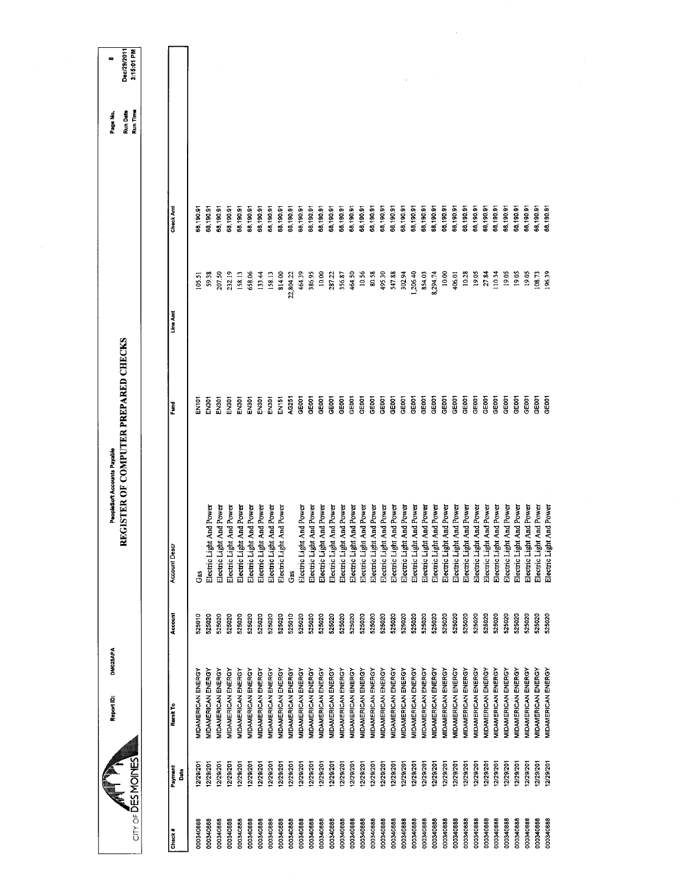|  | <b>Account Descr</b><br>Account                                |
|--|----------------------------------------------------------------|
|  | Ğ<br>525010                                                    |
|  | Electric Light And Power<br>525020                             |
|  | Electric Light And Power<br>525020                             |
|  | Electric Light And Power<br>525020                             |
|  | Electric Light And Power<br>525020                             |
|  | Electric Light And Power<br>525020                             |
|  | Electric Light And Power<br>525020                             |
|  | Electric Light And Power<br>525020                             |
|  | Electric Light And Power<br>525020                             |
|  | Gas<br>525010                                                  |
|  | Electric Light And Power<br>525020                             |
|  | Electric Light And Power<br>525020                             |
|  | Electric Light And Power<br>525020                             |
|  | Electric Light And Power<br>525020                             |
|  | Electric Light And Power<br>525020                             |
|  | Electric Light And Power<br>525020                             |
|  | Electric Light And Power<br>525020                             |
|  | Electric Light And Power<br>525020                             |
|  | Electric Light And Power<br>525020                             |
|  | Electric Light And Power<br>525020                             |
|  | Electric Light And Power<br>525020                             |
|  | Electric Light And Power<br>525020                             |
|  | Electric Light And Power<br>525020                             |
|  | Electric Light And Power<br>525020                             |
|  | Electric Light And Power<br>525020                             |
|  | Electric Light And Power<br>525020<br>525020                   |
|  | Electric Light And Power<br>525020                             |
|  | Electric Light And Power<br>Electric Light And Power<br>525020 |
|  | Electric Light And Power<br>525020                             |
|  | 525020                                                         |
|  | Electric Light And Power                                       |
|  | Electric Light And Power<br>525020                             |
|  | Electric Light And Power<br>525020                             |
|  | Electric Light And Power<br>525020                             |
|  | Electric Light And Power<br>525020                             |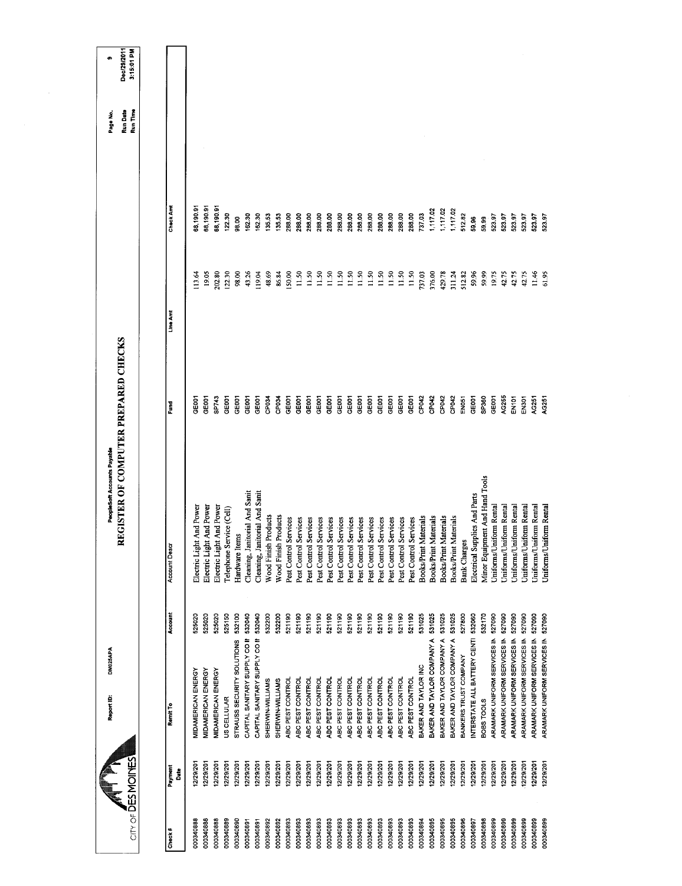|                                                  | Report ID:                                | DM025APA                            | PeopleSoft Accounts Payable                                        | REGISTER OF COMPUTER PREPARED CHECKS |                  |                     | Run Date<br>Page No | Dec/29/2011<br>œ |
|--------------------------------------------------|-------------------------------------------|-------------------------------------|--------------------------------------------------------------------|--------------------------------------|------------------|---------------------|---------------------|------------------|
| City of DESMOINES                                |                                           |                                     |                                                                    |                                      |                  |                     | Run Time            | 3:15:01 PM       |
| Payment<br>å<br>Check#                           | Remit To                                  | Account                             | <b>Account Descr</b>                                               | Fund                                 | Line Amt         | Check Amt           |                     |                  |
| 12/29/20<br>000340888                            | MIDAMERICAN ENERGY                        | 525020                              | Electric Light And Power                                           | GE001                                | 113.64           | 68,190.91           |                     |                  |
| 12/29/201<br>000340888                           | MIDAMERICAN ENERGY                        | 525020                              | Electric Light And Power                                           | GEOD1                                | 19.05            | 68,190.91           |                     |                  |
| 12/29/201<br>12/29/201<br>000340888<br>000340889 | MIDAMERICAN ENERGY<br>US CELLULAR         | 525020<br>525150                    | Electric Light And Power<br>Telephone Service (Cell)               | SP743<br>GEOD1                       | 202.80<br>122.30 | 68,190.91<br>122.30 |                     |                  |
| 12/29/201<br>000340890                           | STRAUSS SECURITY SOLUTIONS                | 532100                              | Hardware Items                                                     | GE001                                | 98.00            | 98.00               |                     |                  |
| 12/29/20<br>000340891                            | CAPITAL SANITARY SUPPLY CO II             | 532040                              | Cleaning, Janitorial And Sanit                                     | GE001                                | 43.26            | 162.30              |                     |                  |
| 12/29/20<br>000340891                            | CAPITAL SANITARY SUPPLY CO II             | 532040<br>532200                    | Cleaning, Janitorial And Sanit                                     | GEOOT                                | 119.04           | 162.30              |                     |                  |
| 12/29/201<br>12/29/201<br>000340892<br>000340892 | SHERWIN-WILLIAMS<br>SHERWIN-WILLIAMS      | 532200                              | Wood Finish Products<br><b>Wood Finish Products</b>                | CP034<br>CP034                       | 48.69<br>86.84   | 135.53<br>135.53    |                     |                  |
| 12/29/201<br>000340893                           | ABC PEST CONTROL                          | 521190                              | Services<br>Pest Control                                           | GE001                                | 150.00           | 288.00              |                     |                  |
| 12/29/201<br>000340893                           | ABC PEST CONTROL                          | 521190                              | Services<br>Pest Control                                           | GE001                                | 11.50            | 288.00              |                     |                  |
| 12/29/20<br>000340893                            | ABC PEST CONTROL                          | 521190                              | Services<br>Pest Control                                           | GEOOT                                | 11.50            | 288.00              |                     |                  |
| 12/29/201<br>12/29/201<br>000340893<br>000340893 | ABC PEST CONTROL<br>ABC PEST CONTROL      | 521190<br>521190                    | Services<br>Services<br>Pest Control<br>Pest Control               | GE001<br>GEOCT                       | 11.50<br>11.50   | 288.00<br>288.00    |                     |                  |
| 12/29/201<br>000340893                           | ABC PEST CONTROL                          | 521190                              | Services<br>Pest Control                                           | GEOD1                                | 11.50            | 288.00              |                     |                  |
| 12/29/201<br>000340893                           | ABC PEST CONTROL                          | 521190                              | Services<br>Pest Control                                           | GEOOT                                | 11.50            | 288.00              |                     |                  |
| 12/29/201<br>12/29/201<br>000340893<br>000340893 | ABC PEST CONTROL<br>ABC PEST CONTROL      | 521190<br>521190                    | Services<br>Pest Control                                           | GE001<br>GE001                       | 11.50<br>11.50   | 288,00<br>288.00    |                     |                  |
| 12/29/201<br>000340893                           | ABC PEST CONTROL                          | 521190                              | Services<br>Services<br>Pest Control<br>Pest Control               | GE001                                | 11.50            | 288,00              |                     |                  |
| 12/29/201<br>000340893                           | ABC PEST CONTROL                          | 521190                              | Services<br>Pest Control                                           | GEOD1                                | 11.50            | 288.00              |                     |                  |
| 12/29/201<br>000340893                           | ABC PEST CONTROL                          | 521190                              | Services<br>Pest Control                                           | GE001                                | 11.50            | 288.00              |                     |                  |
| 12/29/201<br>12/29/201<br>000340893<br>000340894 | BAKER AND TAYLOR INC<br>ABC PEST CONTROL  | 521190<br>531025                    | Services<br>Pest Control                                           | CP042<br>GEOD1                       | 11.50            | 288.00<br>737.03    |                     |                  |
| 12/29/201<br>000340895                           | BAKER AND TAYLOR COMPANY A                | 531025                              | Materials<br>Materials<br><b>Books/Print</b><br><b>Books/Print</b> | CP042                                | 376.00<br>737.03 | 1,117.02            |                     |                  |
| 12/29/201<br>000340895                           | BAKER AND TAYLOR COMPANY A                | 531025                              | Materials<br>Books/Print                                           | CP042                                | 429.78           | 1,117.02            |                     |                  |
| 12/29/201<br>000340895                           | BAKER AND TAYLOR COMPANY A                | 531025                              | Materials<br><b>Books/Print</b>                                    | CP042                                | 311.24           | 1,117.02            |                     |                  |
| 12/29/201<br>000340896                           | BANKERS TRUST COMPANY                     | 527800                              | <b>Bank Charges</b>                                                | EN051                                | 512.82           | 512.82              |                     |                  |
| 12/29/201<br>000340897                           |                                           | INTERSTATE ALL BATTERY CENTI 532060 | Electrical Supplies And Parts                                      | GE001                                | 59.96            | 59.96               |                     |                  |
| 12/29/201<br>000340899<br>000340898              | ARAMARK UNIFORM SERVICES IN<br>BOBS TOOLS | 532170<br>527090                    | Minor Equipment And Hand Tools                                     | SP360<br>GE <sub>001</sub>           | 59.99            | 59.99               |                     |                  |
| 12/29/201<br>12/29/201<br>000340899              | ARAMARK UNIFORM SERVICES IN               | 527090                              | Uniforms/Uniform Rental<br>Uniforms/Uniform Rental                 | AG255                                | 19.75<br>42.75   | 523.97<br>523.97    |                     |                  |
| 12/29/201<br>000340899                           | ARAMARK UNIFORM SERVICES IN               | 527090                              | Uniforms/Uniform Rental                                            | EN <sub>101</sub>                    | 42.75            | 523.97              |                     |                  |
| 12/29/201<br>000340899                           | ARAMARK UNIFORM SERVICES IN               | 527090                              | Uniforms/Uniform Rental                                            | <b>EN301</b>                         | 42.75            | 523,97              |                     |                  |
| 12/29/201<br>000340899                           | ARAMARK UNIFORM SERVICES IN               | 527090<br>527090                    | Uniforms/Uniform Rental<br>Uniforms/Uniform Rental                 | AG251                                | 11.46            | 523.97              |                     |                  |
| 12/29/201<br>000340899                           | ARAMARK UNIFORM SERVICES IN               |                                     |                                                                    | AG251                                | 61.95            | 523.97              |                     |                  |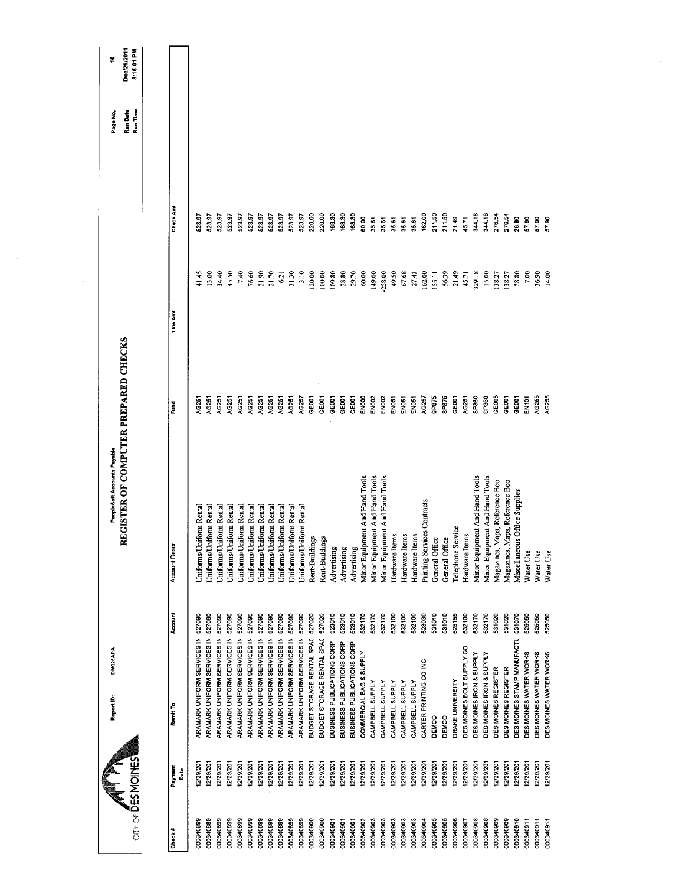|                           | DM025APA<br>Report ID:             |         | REGISTER OF COMPUTER PREPARED CHECKS<br>PeopleSoft Accounts Payable |                   |           |           | Run Date<br>Page No. | Dec/29/2011<br>÷ |
|---------------------------|------------------------------------|---------|---------------------------------------------------------------------|-------------------|-----------|-----------|----------------------|------------------|
| City of DES MOINES        |                                    |         |                                                                     |                   |           |           | Run Time             | 3:15:01 PM       |
|                           |                                    |         |                                                                     |                   |           |           |                      |                  |
| Payment<br>Date<br>Check# | Remit To                           | Account | <b>Account Descr</b>                                                | Fund              | Line Amt  | Check And |                      |                  |
| 12/29/201<br>000340899    | ARAMARK UNIFORM SERVICES IN        | 527090  | Uniforms/Uniform Rental                                             | AG251             | 41.45     | 523.97    |                      |                  |
| 12/29/201<br>000340899    | ARAMARK UNIFORM SERVICES IN 527090 |         | Uniforms/Uniform Rental                                             | AG251             | 13.00     | 523.97    |                      |                  |
| 12/29/201<br>000340899    | ARAMARK UNIFORM SERVICES IN        | 527090  | Jniforms/Uniform Rental                                             | <b>4G251</b>      | 34.40     | 523.97    |                      |                  |
| 12/29/201<br>000340899    | ARAMARK UNIFORM SERVICES IN        | 527090  | Uniforms/Uniform Rental                                             | AG251             | 45.50     | 523.97    |                      |                  |
| 12/29/201<br>000340899    | ARAMARK UNIFORM SERVICES IN        | 527090  | Uniforms/Uniform Rental                                             | AG251             | 7.40      | 523.97    |                      |                  |
| 12/29/201<br>000340899    | ARAMARK UNIFORM SERVICES IN        | 527090  | Jniforms/Uniform Rental                                             | AG251             | 76.60     | 523.97    |                      |                  |
| 12/29/201<br>000340899    | ARAMARK UNIFORM SERVICES IN        | 527090  | Uniforms/Uniform Rental                                             | AG251             | 21.90     | 523.97    |                      |                  |
| 12/29/201<br>000340899    | ARAMARK UNIFORM SERVICES IN        | 527090  | Uniforms/Uniform Rental                                             | AG251             | 21.70     | 523,97    |                      |                  |
| 12/29/201<br>000340899    | <b>ARAMARK UNIFORM SERVICES IN</b> | 527090  | Jniforms/Uniform Rental                                             | AG251             | 6.21      | 523.97    |                      |                  |
| 12/29/201<br>000340899    | ARAMARK UNIFORM SERVICES IN        | 527090  | Uniforms/Uniform Rental                                             | AG251             | 31.30     | 523.97    |                      |                  |
| 12/29/201<br>000340899    | ARAMARK UNIFORM SERVICES IN        | 527090  | Uniforms/Uniform Rental                                             | AG257             | 3.10      | 523.97    |                      |                  |
| 12/29/201<br>000340900    | BUDGET STORAGE RENTAL SPAC         | 527020  | Rent-Buildings                                                      | GE001             | 120.00    | 220.00    |                      |                  |
| 12/29/201<br>000340900    | BUDGET STORAGE RENTAL SPAC         | 527020  | Rent-Buildings                                                      | GEOD1             | 100.00    | 220.00    |                      |                  |
| 12/29/201<br>000340901    | BUSINESS PUBLICATIONS CORP         | 523010  | Advertising                                                         | GE001             | 109.80    | 168.30    |                      |                  |
| 12/29/201<br>000340901    | BUSINESS PUBLICATIONS CORP         | 523010  | Advertising                                                         | GEOOT             | 28.80     | 168.30    |                      |                  |
| 12/29/201<br>000340901    | BUSINESS PUBLICATIONS CORP         | 523010  | Advertising                                                         | GEODT             | 2970      | 168.30    |                      |                  |
| 12/29/201<br>000340902    | COMMERCIAL BAG & SUPPLY            | 532170  | Minor Equipment And Hand Tools                                      | ENOOO             | 60.00     | 60.00     |                      |                  |
| 12/29/201<br>000340903    | CAMPBELL SUPPLY                    | 532170  | ipment And Hand Tools<br>Minor Equi                                 | <b>EN002</b>      | 149.00    | 35,61     |                      |                  |
| 12/29/201<br>000340903    | CAMPBELL SUPPLY                    | 532170  | Minor Equipment And Hand Tools                                      | <b>EN002</b>      | $-258.00$ | 35.61     |                      |                  |
| 12/29/201<br>000340903    | CAMPBELL SUPPLY                    | 532100  | Hardware Items                                                      | EN051             | 49.50     | 35.61     |                      |                  |
| 12/29/201<br>000340903    | CAMPBELL SUPPLY                    | 532100  | Hardware Items                                                      | EN051             | 67.68     | 35.61     |                      |                  |
| 12/29/201<br>000340903    | CAMPBELL SUPPLY                    | 532100  | Hardware Items                                                      | EN051             | 27.43     | 35.61     |                      |                  |
| 12/29/201<br>000340904    | CARTER PRINTING CO INC             | 523030  | Printing Services Contracts                                         | AG257             | 162.00    | 162.00    |                      |                  |
| 12/29/201<br>000340905    | DEMCO                              | 531010  | General Office                                                      | SP875             | 155.11    | 211.50    |                      |                  |
| 12/29/201<br>000340905    | DEMCO                              | 531010  | General Office                                                      | SP875             | 56.39     | 211.50    |                      |                  |
| 12/29/201<br>000340906    | DRAKE UNIVERSITY                   | 525155  | Telephone Service                                                   | GEOOT             | 21.49     | 21.49     |                      |                  |
| 12/29/201<br>000340907    | DES MOINES BOLT SUPPLY CO          | 532100  | Hardware Items                                                      | AG251             | 45.71     | 45.71     |                      |                  |
| 12/29/201<br>000340908    | DES MOINES IRON & SUPPLY           | 532170  | Minor Equipment And Hand Tools                                      | SP360             | 329.18    | 344.18    |                      |                  |
| 12/29/201<br>000340908    | DES MOINES IRON & SUPPLY           | 532170  | pment And Hand Tools<br>Minor Equi                                  | SP360             | 15.00     | 344,18    |                      |                  |
| 12/29/201<br>000340909    | DES MOINES REGISTER                | 531020  | Maps, Reference Boo<br>Magazines,                                   | GE005             | 138.27    | 276.54    |                      |                  |
| 12/29/201<br>000340909    | DES MOINES REGISTER                | 531020  | Magazines, Maps, Reference Boo                                      | GE001             | 138.27    | 276.54    |                      |                  |
| 12/29/201<br>000340910    | DES MOINES STAMP MANUFACTL         | 531070  | Miscellaneous Office Supplies                                       | GEOD1             | 28.80     | 28.80     |                      |                  |
| 12/29/201<br>000340911    | DES MOINES WATER WORKS             | 525050  | Water Use                                                           | EN <sub>101</sub> | 7.00      | 5790      |                      |                  |
| 2/29/201<br>000340911     | DES MOINES WATER WORKS             | 525050  | Water Use                                                           | AG255             | 36.90     | 57.90     |                      |                  |
| 12/29/201<br>000340911    | DES MOINES WATER WORKS             | 525050  | Water Use                                                           | AG255             | 14.00     | 57.90     |                      |                  |
|                           |                                    |         |                                                                     |                   |           |           |                      |                  |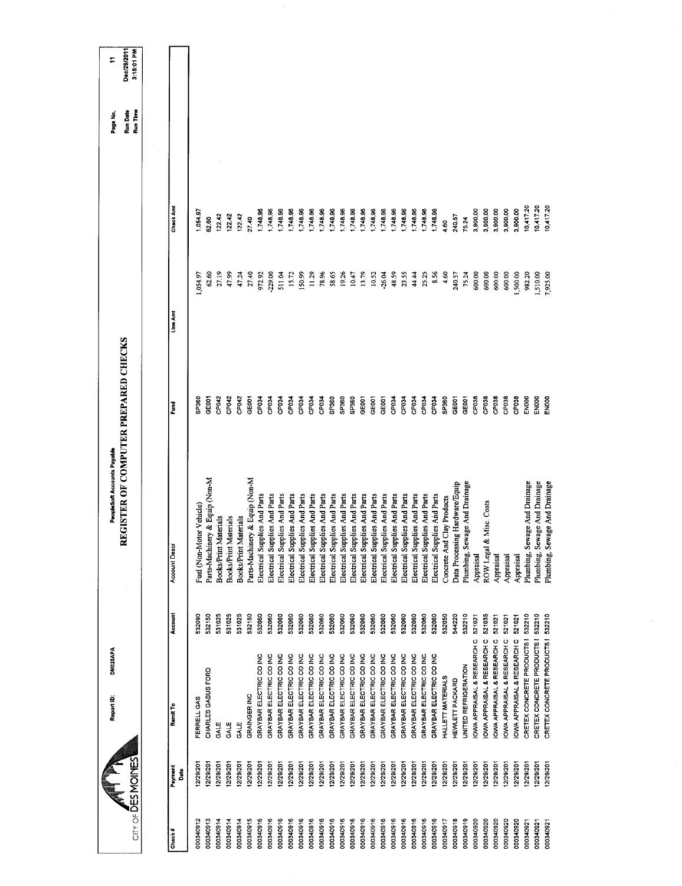| Dec/29/2011<br>3:15:01 PM<br>÷                                      |                      |      |                          |                                |                       |                       |                       |                                |                               |                               |                               |                               |                               |                               |                                  |                               |                               |                               |                               |                               |                               |                               |                               |                               |                               |                               |                            |                                |                                  |                            |                            |                            |                            |                            |                                  |                          |
|---------------------------------------------------------------------|----------------------|------|--------------------------|--------------------------------|-----------------------|-----------------------|-----------------------|--------------------------------|-------------------------------|-------------------------------|-------------------------------|-------------------------------|-------------------------------|-------------------------------|----------------------------------|-------------------------------|-------------------------------|-------------------------------|-------------------------------|-------------------------------|-------------------------------|-------------------------------|-------------------------------|-------------------------------|-------------------------------|-------------------------------|----------------------------|--------------------------------|----------------------------------|----------------------------|----------------------------|----------------------------|----------------------------|----------------------------|----------------------------------|--------------------------|
| Run Date<br>Run Time<br>Page No.                                    |                      |      |                          |                                |                       |                       |                       |                                |                               |                               |                               |                               |                               |                               |                                  |                               |                               |                               |                               |                               |                               |                               |                               |                               |                               |                               |                            |                                |                                  |                            |                            |                            |                            |                            |                                  |                          |
|                                                                     | Check And            |      | 054.97                   | 62.60                          | 122.42                | 122.42                | 122.42                | 27.40                          | 1,748.96                      | 1,748.96                      | 1,748.96                      | 1,748.96                      | 1,748.96                      | 1,748.96                      | 1,748.96                         | 1,748.96                      | 1,748.96                      | 1,748.96                      | 1,748.96                      | 1,748,96                      | 1,748.96                      | 1,748.96                      | 1,748.96                      | 1,748.96                      | 1,748.96                      | 1,748.96                      | $rac{60}{4}$               | 240.57                         | 75.24                            | 3,900.00                   | 3,900,00                   | 3,900.00                   | 3,900.00                   | 3,900.00                   | 10,417.20                        |                          |
|                                                                     | Line Amt             |      | 1,054.97                 | 62.60                          | 27.19                 | 47.99                 | 47.24                 | 27.40                          | 972.92                        | $-229.00$                     | 511.04                        | 15.72                         | 150.99                        | 11.29                         | 78.96                            | 58.65                         | 19.26                         | 10.47                         | 13.79                         | 10.52                         | $-26.04$                      | 48.59                         | 23.55                         | 44.44                         | 25,25                         | 8.56                          | 4,60                       | 240.57                         | 75.24                            | 600.00                     | 600.00                     | 600.00                     | 600.00                     | 1,500.00                   | 982.20                           |                          |
|                                                                     | Ě                    |      | SP360                    | GEOD1                          | CP042                 | CP <sub>042</sub>     | CP042                 | GE001                          | CP034                         | CP034                         | CP034                         | CP034                         | CP034                         | CP034                         | CP034                            | GP <sub>360</sub>             | SP <sub>360</sub>             | SP360                         | GEDO <sub>1</sub>             | GE001                         | GE001                         | CP034                         | CP034                         | CP034                         | CP034                         | CP034                         | SP <sub>360</sub>          | GE001                          | GE001                            | CP038                      | CP038                      | CP <sub>038</sub>          | CP <sub>03</sub>           | CP <sub>038</sub>          | EN000                            |                          |
| REGISTER OF COMPUTER PREPARED CHECKS<br>PeopleSoft Accounts Payable | <b>Account Descr</b> |      | Fuel (Non-Motor Vehicle) | Parts-Machinery & Equip (Non-M | Books/Print Materials | Books/Print Materials | Books/Print Materials | Parts-Machinery & Equip (Non-M | Electrical Supplies And Parts | Electrical Supplies And Parts | Electrical Supplies And Parts | Electrical Supplies And Parts | Electrical Supplies And Parts | Electrical Supplies And Parts | Supplies And Parts<br>Electrical | Electrical Supplies And Parts | Electrical Supplies And Parts | Electrical Supplies And Parts | Electrical Supplies And Parts | Electrical Supplies And Parts | Electrical Supplies And Parts | Electrical Supplies And Parts | Electrical Supplies And Parts | Electrical Supplies And Parts | Electrical Supplies And Parts | Electrical Supplies And Parts | Concrete And Clay Products | Data Processing Hardware/Equip | Sewage And Drainage<br>Plumbing, | Appraisal                  | ROW Legal & Misc. Costs    | Appraisal                  | Appraisal                  | Appraisal                  | Sewage And Drainage<br>Plumbing, | Plumbing,                |
|                                                                     | Account              |      | 532090                   | 532150                         | 531025                | 531025                | 531025                | 532150                         | 532060                        | 532060                        | 532060                        | 532060                        | 532060                        | 532060                        | 532060                           | 532060                        | 532060                        | 532060                        | 532060                        | 532060                        | 532060                        | 532060                        | 532060                        | 532060                        | 532060                        | 532060                        | 532050                     | 544220                         | 532210                           | 521021                     | 521035                     | 521021                     | 521021                     | 521021                     | 532210                           |                          |
| DM025APA<br>Report ID:                                              | Remit To             |      | FERRELL GAS              | CHARLES GABUS FORD             | GALE                  | GALE                  | GALE                  | GRAINGER INC                   | GRAYBAR ELECTRIC CO INC       | GRAYBAR ELECTRIC CO INC       | GRAYBAR ELECTRIC CO INC       | GRAYBAR ELECTRIC CO INC       | GRAYBAR ELECTRIC CO INC       | GRAYBAR ELECTRIC CO INC       | GRAYBAR ELECTRIC CO INC          | GRAYBAR ELECTRIC CO INC       | GRAYBAR ELECTRIC CO INC       | GRAYBAR ELECTRIC CO INC       | GRAYBAR ELECTRIC CO INC       | GRAYBAR ELECTRIC CO INC       | GRAYBAR ELECTRIC CO INC       | GRAYBAR ELECTRIC CO INC       | GRAYBAR ELECTRIC CO INC       | GRAYBAR ELECTRIC CO INC       | GRAYBAR ELECTRIC CO INC       | GRAYBAR ELECTRIC CO INC       | <b>HALLETT MATERIALS</b>   | <b>HEWLETT PACKARD</b>         | UNITED REFRIGERATION             | OWA APPRAISAL & RESEARCH C | OWA APPRAISAL & RESEARCH C | OWA APPRAISAL & RESEARCH C | OWA APPRAISAL & RESEARCH C | OWA APPRAISAL & RESEARCH C | CRETEX CONCRETE PRODUCTS I       | CRETEX CONCRETE PRODUCTS |
| City of DESMOINES                                                   | Payment              | Date | 2/29/201                 | 12/29/201                      | 12/29/201             | 2/29/201              | 12/29/201             | 12/29/201                      | 12/29/201                     | 12/29/201                     | 12/29/201                     | 12/29/201                     | 2/29/201                      | 12/29/201                     | 12/29/201                        | 12/29/201                     | 12/29/201                     | 12/29/201                     | 12/29/201                     | 12/29/201                     | 12/29/201                     | 12/29/201                     | 12/29/201                     | 12/29/201                     | 12/29/201                     | 12/29/201                     | 12/29/201                  | 12/29/201                      | 12/29/201                        | 12/29/201                  | 12/29/201                  | 12/29/201                  | 12/29/201                  | 12/29/201                  | 12/29/201                        |                          |
|                                                                     | Check #              |      | 000340912                | 000340913                      | 000340914             | 000340914             | 000340914             | 000340915                      | 000340916                     | 000340916                     | 000340916                     | 000340916                     | 000340916                     | 000340916                     | 000340916                        | 000340916                     | 000340916                     | 000340916                     | 000340916                     | 000340916                     | 000340916                     | 000340916                     | 000340916                     | 000340916                     | 000340916                     | 000340916                     | 000340917                  | 000340918                      | 000340919                        | 000340920                  | 000340920                  | 000340920                  | 000340920                  | 000340920                  | 000340921                        | 000340921                |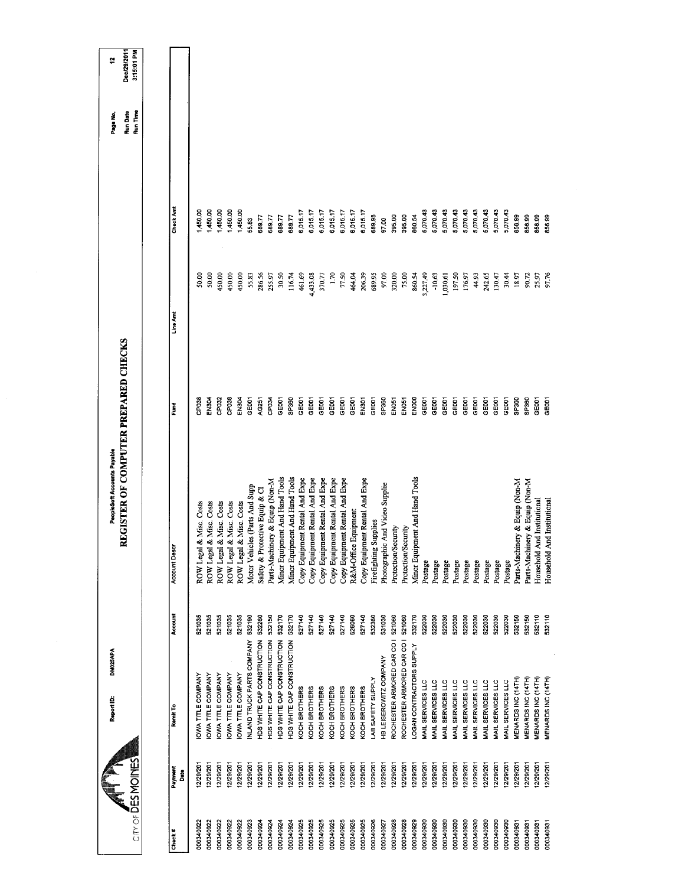| CITY OF DES MOINES |                 | Report ID:                 | DM025APA | REGISTER OF COMPUTER PREPARED CHECKS<br>PeopleSoft Accounts Payable |                   |          |           | Run Time<br>Run Date<br>Page No. | Dec/29/2011<br>3:15:01 PM<br>÷, |
|--------------------|-----------------|----------------------------|----------|---------------------------------------------------------------------|-------------------|----------|-----------|----------------------------------|---------------------------------|
|                    |                 |                            |          |                                                                     |                   |          |           |                                  |                                 |
| Check#             | Payment<br>Date | Remit To                   | Account  | Account Descr                                                       | Fund              | Line Amt | Check Amt |                                  |                                 |
| 000340922          | 2/29/201        | OWA TITLE COMPANY          | 521035   | ROW Legal & Misc. Costs                                             | CP038             | 50,00    | 450.00    |                                  |                                 |
| 000340922          | 12/29/201       | <b>OWA TITLE COMPANY</b>   | 521035   | ROW Legal & Misc. Costs                                             | EN304             | 50.00    | 450.00    |                                  |                                 |
| 000340922          | 12/29/201       | <b>IOWA TITLE COMPANY</b>  | 521035   | ROW Legal & Misc. Costs                                             | CP <sub>032</sub> | 450,00   | 1,450.00  |                                  |                                 |
| 000340922          | 12/29/201       | OWA TITLE COMPANY          | 521035   | ROW Legal & Misc. Costs                                             | CP038             | 450,00   | 00.05     |                                  |                                 |
| 000340922          | 12/29/201       | OWA TITLE COMPANY          | 521035   | ROW Legal & Misc. Costs                                             | EN304             | 450,00   | 1,450.00  |                                  |                                 |
| 000340923          | 12/29/201       | NLAND TRUCK PARTS COMPANY  | 532190   | Motor Vehicles (Parts And Supp                                      | GE001             | 55.83    | 55.83     |                                  |                                 |
| 000340924          | 12/29/201       | HDS WHITE CAP CONSTRUCTION | 532260   | Safety & Protective Equip & Cl                                      | AG251             | 286.56   | 68977     |                                  |                                 |
| 000340924          | 12/29/201       | HDS WHITE CAP CONSTRUCTION | 532150   | Parts-Machinery & Equip (Non-M                                      | CP034             | 255.97   | 689.77    |                                  |                                 |
| 000340924          | 12/29/201       | HDS WHITE CAP CONSTRUCTION | 532170   | Minor Equipment And Hand Tools                                      | GE001             | 30.50    | 689.77    |                                  |                                 |
| 000340924          | 12/29/201       | HDS WHITE CAP CONSTRUCTION | 532170   | Minor Equipment And Hand Tools                                      | SP360             | 116.74   | 68977     |                                  |                                 |
| 000340925          | 2/29/201        | KOCH BROTHERS              | 527140   | Copy Equipment Rental And Expe                                      | GE <sub>001</sub> | 461.69   | 6,015.17  |                                  |                                 |
| 000340925          | 12/29/201       | KOCH BROTHERS              | 527140   | Copy Equipment Rental And Expe                                      | GE001             | 4,433.08 | 6,015.17  |                                  |                                 |
| 000340925          | 12/29/201       | KOCH BROTHERS              | 527140   | Copy Equipment Rental And Expe                                      | GE001             | 370.77   | 6,015.17  |                                  |                                 |
| 000340925          | 12/29/201       | KOCH BROTHERS              | 527140   | Copy Equipment Rental And Expe                                      | GE001             | 1.70     | 6,015.17  |                                  |                                 |
| 000340925          | 12/29/201       | KOCH BROTHERS              | 527140   | Copy Equipment Rental And Expe                                      | GEOOT             | 77.50    | 6,015.17  |                                  |                                 |
| 000340925          | 12/29/201       | KOCH BROTHERS              | 526060   | R&M-Office Equipment                                                | GE001             | 464.04   | 6,015.17  |                                  |                                 |
| 000340925          | 12/29/201       | KOCH BROTHERS              | 527140   | Copy Equipment Rental And Expe                                      | EN301             | 206.39   | 6,015.17  |                                  |                                 |
| 000340926          | 12/29/201       | LAB SAFETY SUPPLY          | 532360   | Firefighting Supplies                                               | GE001             | 689.95   | 689.95    |                                  |                                 |
| 000340927          | 12/29/201       | HB LEISEROWITZ COMPANY     | 531030   | Photographic And Video Supplie                                      | <b>GP360</b>      | 97.00    | 97.00     |                                  |                                 |
| 000340928          | 12/29/201       | ROCHESTER ARMORED CAR CO I | 521060   | Protection/Security                                                 | EN051             | 320.00   | 395.00    |                                  |                                 |
| 000340928          | 12/29/201       | ROCHESTER ARMORED CAR CO I | 521060   | Protection/Security                                                 | EN051             | 75.00    | 395.00    |                                  |                                 |
| 000340929          | 12/29/201       | LOGAN CONTRACTORS SUPPLY   | 532170   | Minor Equipment And Hand Tools                                      | ENOOO             | 860.54   | 860.54    |                                  |                                 |
| 000340930          | 12/29/201       | MAIL SERVICES LLC          | 522030   | Postage                                                             | GE001             | 3,227.49 | 5,070.43  |                                  |                                 |
| 000340930          | 12/29/201       | MAIL SERVICES LLC          | 522030   | Postage                                                             | GE001             | $-10.63$ | 5,070.43  |                                  |                                 |
| 000340930          | 12/29/201       | MAIL SERVICES LLC          | 522030   | Postage                                                             | GE001             | 1,030.61 | 5,070.43  |                                  |                                 |
| 000340930          | 12/29/201       | MAIL SERVICES LLC          | 522030   | Postage                                                             | GE001             | 197.50   | 5,070.43  |                                  |                                 |
| 000340930          | 12/29/201       | MAIL SERVICES LLC          | 522030   | Postage                                                             | GE001             | 176.97   | 5,070.43  |                                  |                                 |
| 000340930          | 12/29/201       | MAIL SERVICES LLC          | 522030   | Postage                                                             | GEDOT             | 44.93    | 5,070.43  |                                  |                                 |
| 000340930          | 12/29/201       | MAIL SERVICES LLC          | 522030   | Postage                                                             | GE001             | 242.65   | 5,070.43  |                                  |                                 |
| 000340930          | 12/29/201       | MAIL SERVICES LLC          | 522030   | Postage                                                             | GE001             | 130.47   | 5,070.43  |                                  |                                 |
| 000340930          | 2/29/201        | MAIL SERVICES LLC          | 522030   | Postage                                                             | <b>GEOOT</b>      | 30.44    | 5,070.43  |                                  |                                 |
| 000340931          | 12/29/201       | MENARDS INC (14TH)         | 532150   | Parts-Machinery & Equip (Non-M                                      | SP360             | 18.97    | 856.99    |                                  |                                 |
| 000340931          | 12/29/201       | MENARDS INC (14TH)         | 532150   | Parts-Machinery & Equip (Non-M                                      | SP360             | 90.72    | 85699     |                                  |                                 |
| 000340931          | 2/29/201        | <b>MENARDS INC (14TH)</b>  | 532110   | And Institutional<br>Household                                      | GE001             | 25.97    | 856.99    |                                  |                                 |
| 000340931          | 12/29/201       | MENARDS INC (14TH)         | 532110   | And Institutional<br>Household                                      | GE001             | 97.76    | 856.99    |                                  |                                 |
|                    |                 |                            |          |                                                                     |                   |          |           |                                  |                                 |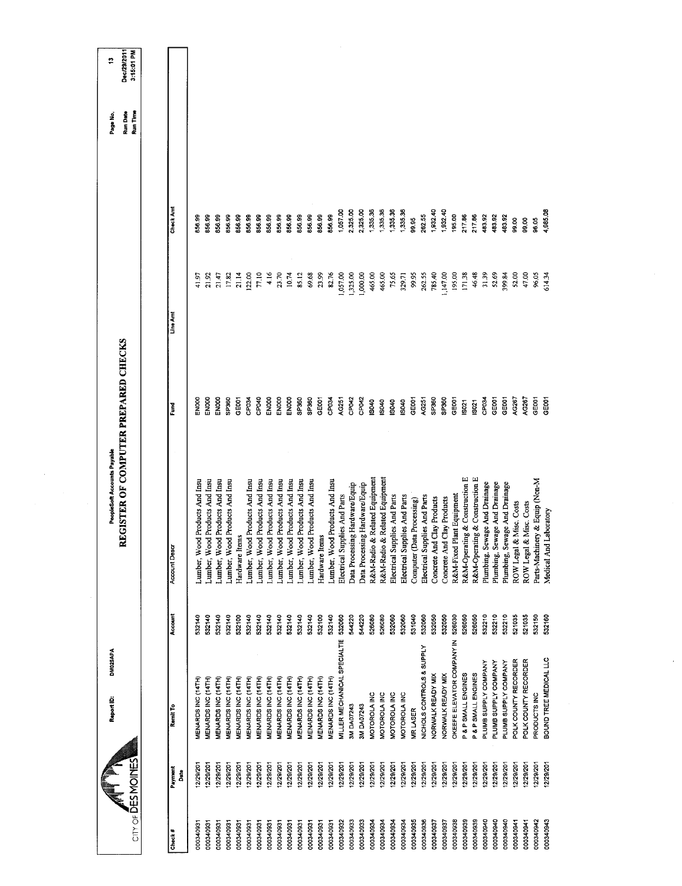$\frac{1}{2}$ 

 $\sim$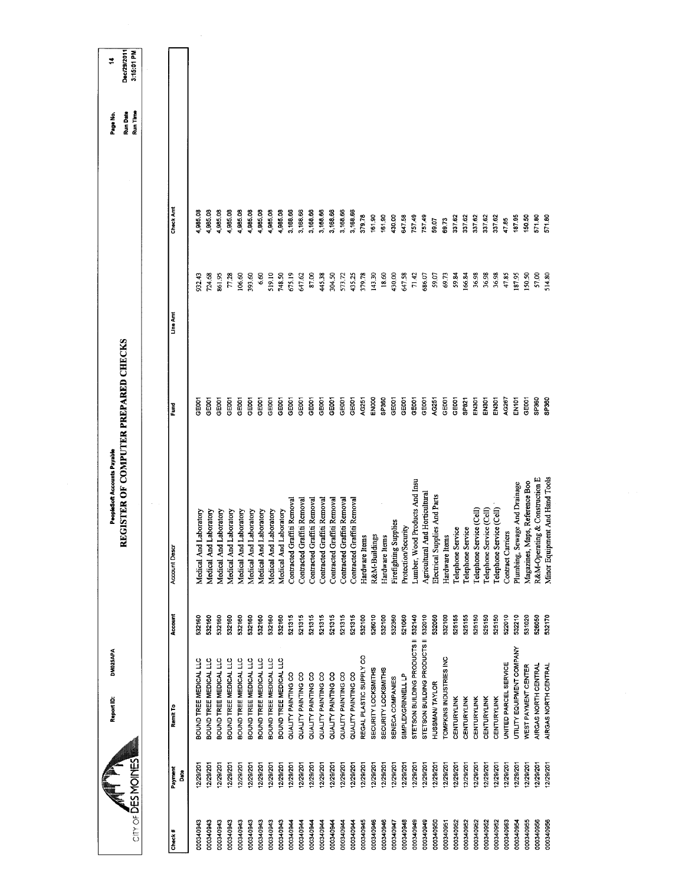|                    |                 | DM025APA<br>Report ID:       |         | PeopleSoft Accounts Payable          |                   |          |           | Page No.             | ₹                         |
|--------------------|-----------------|------------------------------|---------|--------------------------------------|-------------------|----------|-----------|----------------------|---------------------------|
| City of DES MOINES |                 |                              |         | REGISTER OF COMPUTER PREPARED CHECKS |                   |          |           | Run Time<br>Run Date | Dec/29/2011<br>3:15:01 PM |
|                    |                 |                              |         |                                      |                   |          |           |                      |                           |
| Check#             | Payment<br>Date | Remit To                     | Account | <b>Account Descr</b>                 | Ĕ                 | Line Amt | Check Amt |                      |                           |
| 000340943          | 12/29/201       | BOUND TREE MEDICAL LLC       | 532160  | Medical And Laboratory               | <b>GOO1</b>       | 932.43   | 4,985.08  |                      |                           |
| 000340943          | 12/29/201       | BOUND TREE MEDICAL LLC       | 532160  | Medical And Laboratory               | GE001             | 724 68   | 4,985.08  |                      |                           |
| 000340943          | 12/29/201       | BOUND TREE MEDICAL LLC       | 532160  | Laboratory<br>Medical And            | GEOOT             | 861.95   | 4,985.08  |                      |                           |
| 000340943          | 12/29/201       | BOUND TREE MEDICAL LLC       | 532160  | Laboratory<br>Medical And            | GEOOT             | 77.28    | 4,985.08  |                      |                           |
| 000340943          | 12/29/201       | BOUND TREE MEDICAL LLC       | 532160  | Medical And Laboratory               | GEOOT             | 106.60   | 4,985.08  |                      |                           |
| 000340943          | 12/29/201       | BOUND TREE MEDICAL LLC       | 532160  | Medical And Laboratory               | DOGI              | 393.60   | 4,985.08  |                      |                           |
| 000340943          | 12/29/201       | BOUND TREE MEDICAL LLC       | 532160  | Medical And Laboratory               | GE001             | 6.60     | 4,985.08  |                      |                           |
| 000340943          | 12/29/201       | BOUND TREE MEDICAL LLC       | 532160  | Medical And Laboratory               | GEOOT             | 519.10   | 4,985.08  |                      |                           |
| 000340943          | 12/29/201       | BOUND TREE MEDICAL LLC       | 532160  | Medical And Laboratory               | GEOO1             | 748.50   | 4,985.08  |                      |                           |
| 000340944          | 12/29/201       | QUALITY PAINTING CO          | 521315  | Contracted Graffiti Removal          | GE001             | 675.19   | 3,168.66  |                      |                           |
| 000340944          | 12/29/201       | QUALITY PAINTING CO          | 521315  | Contracted Graffiti Removal          | <b>GEOOT</b>      | 647.62   | 3,168.66  |                      |                           |
| 000340944          | 12/29/201       | QUALITY PAINTING CO          | 521315  | Contracted Graffiti Removal          | GEDOT             | 87.00    | 3,168.66  |                      |                           |
| 000340944          | 12/29/201       | QUALITY PAINTING CO          | 521315  | Contracted Graffiti Removal          | GEOOT             | 445.38   | 3,168.66  |                      |                           |
| 000340944          | 12/29/201       | QUALITY PAINTING CO          | 521315  | Contracted Graffiti Removal          | <b>GEOOT</b>      | 304.50   | 3,168.66  |                      |                           |
| 000340944          | 12/29/201       | QUALITY PAINTING CO          | 521315  | Contracted Graffiti Removal          | GEODT             | 573.72   | 3,168.66  |                      |                           |
| 000340944          | 12/29/201       | QUALITY PAINTING CO          | 521315  | Contracted Graffiti Removal          | GEOD1             | 435.25   | 3,168.66  |                      |                           |
| 000340945          | 12/29/201       | REGAL PLASTIC SUPPLY CO      | 532100  | Hardware Items                       | <b>AG251</b>      | 379.78   | 379.78    |                      |                           |
| 000340946          | 12/29/201       | SECURITY LOCKSMITHS          | 526010  | R&M-Buildings                        | EN000             | 143.30   | 161.90    |                      |                           |
| 000340946          | 12/29/201       | SECURITY LOCKSMITHS          | 532100  | Hardware Items                       | SP360             | 18.60    | 16190     |                      |                           |
| 000340947          | 2/29/201        | SENECA COMPANIES             | 532360  | Firefighting Supplies                | <b>GEOOT</b>      | 430.00   | 430.00    |                      |                           |
| 000340948          | 12/29/201       | SIMPLEXGRINNELL LP           | 521060  | Protection/Security                  | GE <sub>001</sub> | 647.58   | 64758     |                      |                           |
| 000340949          | 12/29/201       | STETSON BUILDING PRODUCTS II | 532140  | Lumber, Wood Products And Insu       | GE001             | 71.42    | 75749     |                      |                           |
| 000340949          | 12/29/201       | STETSON BUILDING PRODUCTS II | 532010  | Agricultural And Horticultural       | GE001             | 686.07   | 757.49    |                      |                           |
| 000340950          | 12/29/201       | HUSSMAN/TAYLOR               | 532060  | Electrical Supplies And Parts        | AC251             | 59.07    | 59.07     |                      |                           |
| 000340951          | 12/29/201       | TOMPKINS INDUSTRIES INC      | 532100  | Hardware Items                       | GEOO1             | 69,73    | 69.73     |                      |                           |
| 000340952          | 12/29/201       | CENTURYLINK                  | 525155  | Telephone Service                    | GEOOT             | 59.84    | 337.62    |                      |                           |
| 000340952          | 12/29/201       | CENTURYLINK                  | 525155  | Telephone Service                    | SP821             | 166.84   | 33762     |                      |                           |
| 000340952          | 12/29/201       | CENTURYLINK                  | 525150  | Telephone Service (Cell)             | EN301             | 36.98    | 337 62    |                      |                           |
| 000340952          | 12/29/201       | CENTURYLINK                  | 525150  | Telephone Service (Cell)             | EN301             | 36.98    | 337,62    |                      |                           |
| 000340952          | 12/29/201       | CENTURYLINK                  | 525150  | Telephone Service (Cell)             | EN301             | 36.98    | 337.62    |                      |                           |
| 000340953          | 12/29/201       | UNITED PARCEL SERVICE        | 522010  | Contract Carriers                    | <b>NG267</b>      | 47.85    | 47.85     |                      |                           |
| 000340954          | 12/29/201       | UTILITY EQUIPMENT COMPANY    | 532210  | Plumbing, Sewage And Drainage        | EN <sub>101</sub> | 187.95   | 18785     |                      |                           |
| 000340955          | 12/29/201       | WEST PAYMENT CENTER          | 531020  | Magazines, Maps, Reference Boo       | <b>GEOOT</b>      | 150,50   | 150.50    |                      |                           |
| 000340956          | 2/29/201        | AIRGAS NORTH CENTRAL         | 526050  | R&M-Operating & Construction E       | SP360             | 57.00    | 571.80    |                      |                           |
| 000340956          | 12/29/201       | AIRGAS NORTH CENTRAL         | 532170  | Minor Equipment And Hand Tools       | SP360             | 514.80   | 571.80    |                      |                           |
|                    |                 |                              |         |                                      |                   |          |           |                      |                           |